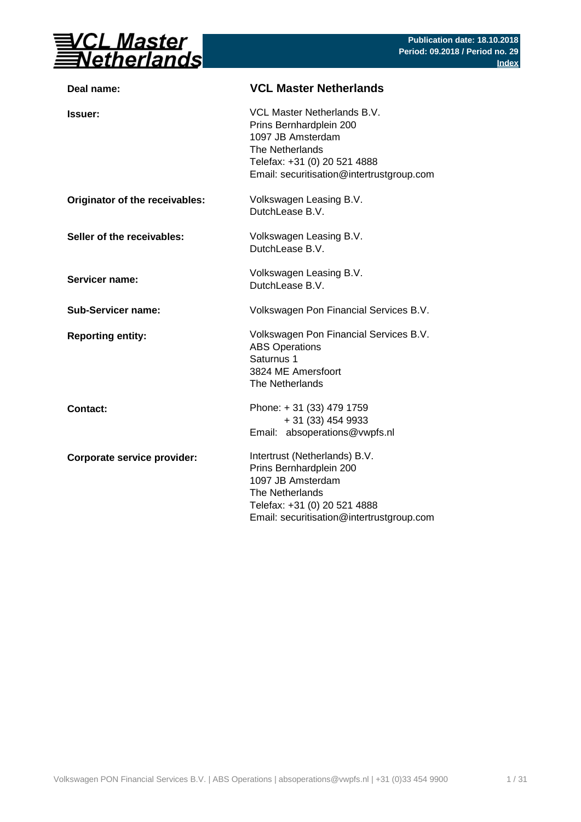

| VCL Master Netherlands B.V.<br>Prins Bernhardplein 200<br>1097 JB Amsterdam<br>The Netherlands<br>Telefax: +31 (0) 20 521 4888<br>Email: securitisation@intertrustgroup.com   |
|-------------------------------------------------------------------------------------------------------------------------------------------------------------------------------|
| Volkswagen Leasing B.V.<br>DutchLease B.V.                                                                                                                                    |
| Volkswagen Leasing B.V.<br>DutchLease B.V.                                                                                                                                    |
| Volkswagen Leasing B.V.<br>DutchLease B.V.                                                                                                                                    |
| Volkswagen Pon Financial Services B.V.                                                                                                                                        |
| Volkswagen Pon Financial Services B.V.<br><b>ABS Operations</b><br>Saturnus 1<br>3824 ME Amersfoort<br>The Netherlands                                                        |
| Phone: +31 (33) 479 1759<br>$+31(33)4549933$<br>Email: absoperations@vwpfs.nl                                                                                                 |
| Intertrust (Netherlands) B.V.<br>Prins Bernhardplein 200<br>1097 JB Amsterdam<br>The Netherlands<br>Telefax: +31 (0) 20 521 4888<br>Email: securitisation@intertrustgroup.com |
|                                                                                                                                                                               |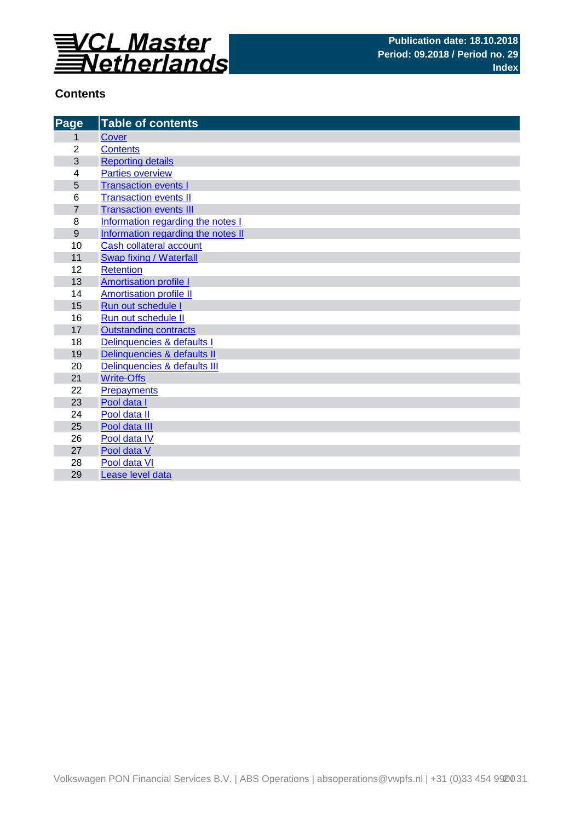

## **Contents**

| Page           | <b>Table of contents</b>           |
|----------------|------------------------------------|
| 1              | Cover                              |
| $\overline{2}$ | <b>Contents</b>                    |
| 3              | <b>Reporting details</b>           |
| 4              | <b>Parties overview</b>            |
| 5              | <b>Transaction events I</b>        |
| 6              | <b>Transaction events II</b>       |
| $\overline{7}$ | <b>Transaction events III</b>      |
| 8              | Information regarding the notes I  |
| 9              | Information regarding the notes II |
| 10             | <b>Cash collateral account</b>     |
| 11             | <b>Swap fixing / Waterfall</b>     |
| 12             | <b>Retention</b>                   |
| 13             | <b>Amortisation profile I</b>      |
| 14             | <b>Amortisation profile II</b>     |
| 15             | Run out schedule I                 |
| 16             | Run out schedule II                |
| 17             | <b>Outstanding contracts</b>       |
| 18             | Delinquencies & defaults I         |
| 19             | Delinquencies & defaults II        |
| 20             | Delinquencies & defaults III       |
| 21             | <b>Write-Offs</b>                  |
| 22             | Prepayments                        |
| 23             | Pool data I                        |
| 24             | Pool data II                       |
| 25             | Pool data III                      |
| 26             | Pool data IV                       |
| 27             | Pool data V                        |
| 28             | Pool data VI                       |
| 29             | Lease level data                   |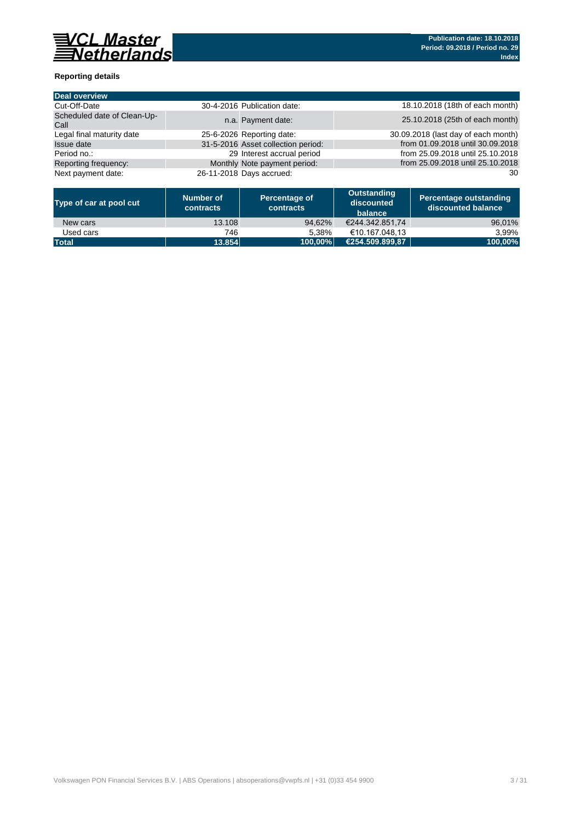

### **Reporting details**

| <b>Deal overview</b>                |                                    |                                     |
|-------------------------------------|------------------------------------|-------------------------------------|
| Cut-Off-Date                        | 30-4-2016 Publication date:        | 18.10.2018 (18th of each month)     |
| Scheduled date of Clean-Up-<br>Call | n.a. Payment date:                 | 25.10.2018 (25th of each month)     |
| Legal final maturity date           | 25-6-2026 Reporting date:          | 30.09.2018 (last day of each month) |
| Issue date                          | 31-5-2016 Asset collection period: | from 01.09.2018 until 30.09.2018    |
| Period no.:                         | 29 Interest accrual period         | from 25.09.2018 until 25.10.2018    |
| Reporting frequency:                | Monthly Note payment period:       | from 25.09.2018 until 25.10.2018    |
| Next payment date:                  | 26-11-2018 Days accrued:           | 30                                  |

| Type of car at pool cut | Number of<br><b>contracts</b> | Percentage of<br>contracts | <b>Outstanding</b><br>discounted<br>balance | <b>Percentage outstanding</b><br>discounted balance |
|-------------------------|-------------------------------|----------------------------|---------------------------------------------|-----------------------------------------------------|
| New cars                | 13.108                        | 94,62%                     | €244.342.851.74                             | 96,01%                                              |
| Used cars               | 746                           | 5.38%                      | €10.167.048.13                              | 3.99%                                               |
| <b>Total</b>            | 13.854                        | 100.00%                    | €254.509.899.87                             | 100,00%                                             |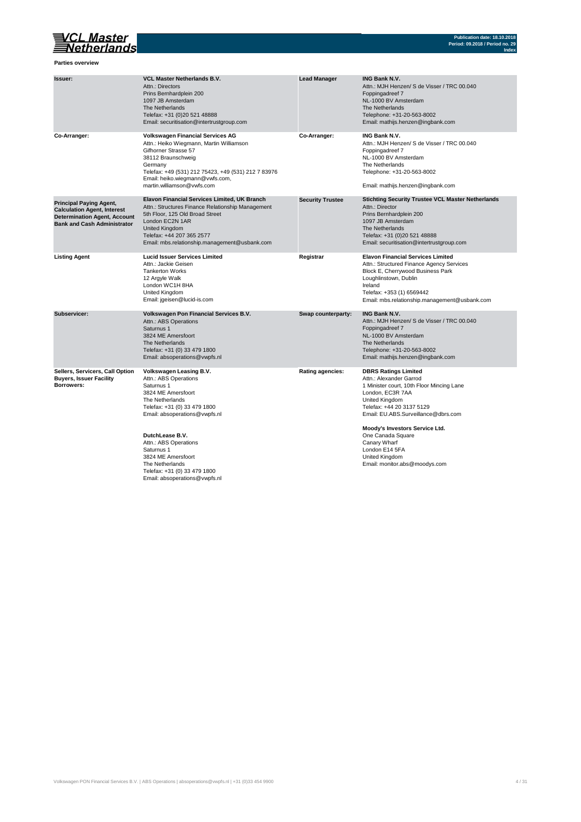## VCL Master<br>Setherlands

**Parties overview**

| <b>Issuer:</b>                                                                                                                                    | <b>VCL Master Netherlands B.V.</b><br>Attn.: Directors<br>Prins Bernhardplein 200<br>1097 JB Amsterdam<br>The Netherlands<br>Telefax: +31 (0)20 521 48888<br>Email: securitisation@intertrustgroup.com                                                               | <b>Lead Manager</b>     | <b>ING Bank N.V.</b><br>Attn.: MJH Henzen/ S de Visser / TRC 00.040<br>Foppingadreef 7<br>NL-1000 BV Amsterdam<br>The Netherlands<br>Telephone: +31-20-563-8002<br>Email: mathijs.henzen@ingbank.com                                         |
|---------------------------------------------------------------------------------------------------------------------------------------------------|----------------------------------------------------------------------------------------------------------------------------------------------------------------------------------------------------------------------------------------------------------------------|-------------------------|----------------------------------------------------------------------------------------------------------------------------------------------------------------------------------------------------------------------------------------------|
| Co-Arranger:                                                                                                                                      | <b>Volkswagen Financial Services AG</b><br>Attn.: Heiko Wiegmann, Martin Williamson<br>Gifhorner Strasse 57<br>38112 Braunschweig<br>Germany<br>Telefax: +49 (531) 212 75423, +49 (531) 212 7 83976<br>Email: heiko.wiegmann@vwfs.com,<br>martin.williamson@vwfs.com | Co-Arranger:            | ING Bank N.V.<br>Attn.: MJH Henzen/ S de Visser / TRC 00.040<br>Foppingadreef 7<br>NL-1000 BV Amsterdam<br>The Netherlands<br>Telephone: +31-20-563-8002<br>Email: mathijs.henzen@ingbank.com                                                |
| <b>Principal Paying Agent,</b><br><b>Calculation Agent, Interest</b><br><b>Determination Agent, Account</b><br><b>Bank and Cash Administrator</b> | <b>Elavon Financial Services Limited, UK Branch</b><br>Attn.: Structures Finance Relationship Management<br>5th Floor, 125 Old Broad Street<br>London EC2N 1AR<br>United Kingdom<br>Telefax: +44 207 365 2577<br>Email: mbs.relationship.management@usbank.com       | <b>Security Trustee</b> | <b>Stichting Security Trustee VCL Master Netherlands</b><br>Attn.: Director<br>Prins Bernhardplein 200<br>1097 JB Amsterdam<br>The Netherlands<br>Telefax: +31 (0)20 521 48888<br>Email: securitisation@intertrustgroup.com                  |
| <b>Listing Agent</b>                                                                                                                              | <b>Lucid Issuer Services Limited</b><br>Attn.: Jackie Geisen<br><b>Tankerton Works</b><br>12 Argyle Walk<br>London WC1H 8HA<br>United Kingdom<br>Email: jgeisen@lucid-is.com                                                                                         | Registrar               | <b>Elavon Financial Services Limited</b><br>Attn.: Structured Finance Agency Services<br>Block E, Cherrywood Business Park<br>Loughlinstown, Dublin<br>Ireland<br>Telefax: +353 (1) 6569442<br>Email: mbs.relationship.management@usbank.com |
| Subservicer:                                                                                                                                      | Volkswagen Pon Financial Services B.V.<br>Attn.: ABS Operations<br>Saturnus 1<br>3824 ME Amersfoort<br>The Netherlands<br>Telefax: +31 (0) 33 479 1800<br>Email: absoperations@vwpfs.nl                                                                              | Swap counterparty:      | <b>ING Bank N.V.</b><br>Attn.: MJH Henzen/ S de Visser / TRC 00.040<br>Foppingadreef 7<br>NL-1000 BV Amsterdam<br>The Netherlands<br>Telephone: +31-20-563-8002<br>Email: mathijs.henzen@ingbank.com                                         |
| Sellers, Servicers, Call Option<br><b>Buyers, Issuer Facility</b><br>Borrowers:                                                                   | Volkswagen Leasing B.V.<br>Attn.: ABS Operations<br>Saturnus 1<br>3824 ME Amersfoort<br>The Netherlands<br>Telefax: +31 (0) 33 479 1800<br>Email: absoperations@vwpfs.nl                                                                                             | <b>Rating agencies:</b> | <b>DBRS Ratings Limited</b><br>Attn.: Alexander Garrod<br>1 Minister court, 10th Floor Mincing Lane<br>London, EC3R 7AA<br>United Kingdom<br>Telefax: +44 20 3137 5129<br>Email: EU.ABS.Surveillance@dbrs.com                                |
|                                                                                                                                                   | DutchLease B.V.<br>Attn.: ABS Operations<br>Saturnus 1<br>3824 ME Amersfoort<br>The Netherlands<br>Telefax: +31 (0) 33 479 1800<br>Email: absoperations@vwpfs.nl                                                                                                     |                         | Moody's Investors Service Ltd.<br>One Canada Square<br>Canary Wharf<br>London E14 5FA<br>United Kingdom<br>Email: monitor.abs@moodys.com                                                                                                     |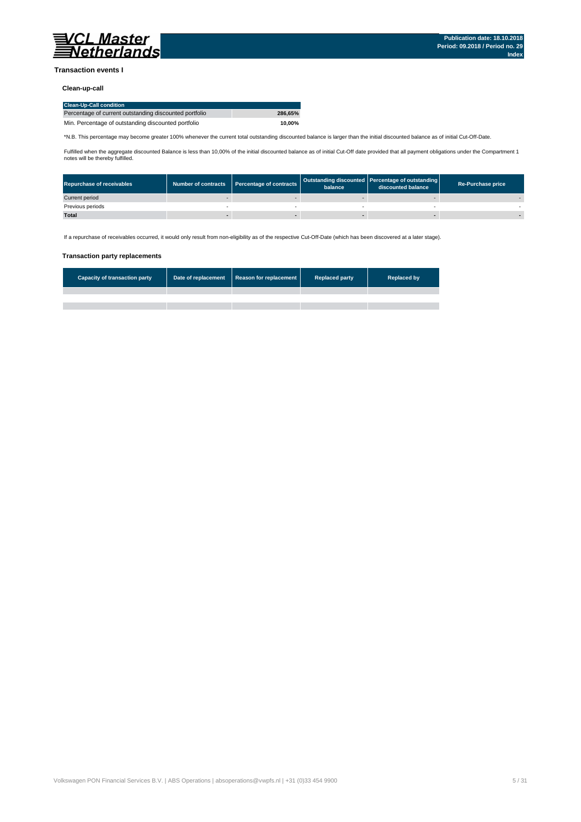

#### **Transaction events I**

### **Clean-up-call**

| <b>Clean-Up-Call condition</b>                         |         |
|--------------------------------------------------------|---------|
| Percentage of current outstanding discounted portfolio | 286.65% |
| Min. Percentage of outstanding discounted portfolio    | 10.00%  |

\*N.B. This percentage may become greater 100% whenever the current total outstanding discounted balance is larger than the initial discounted balance as of initial Cut-Off-Date.

Fulfilled when the aggregate discounted Balance is less than 10,00% of the initial discounted balance as of initial Cut-Off date provided that all payment obligations under the Compartment 1 notes will be thereby fulfilled.

| <b>Repurchase of receivables</b> | Number of contracts   Percentage of contracts | balance | Outstanding discounted Percentage of outstanding<br>discounted balance | <b>Re-Purchase price</b> |
|----------------------------------|-----------------------------------------------|---------|------------------------------------------------------------------------|--------------------------|
| Current period                   |                                               |         |                                                                        |                          |
| Previous periods                 |                                               |         |                                                                        |                          |
| <b>Total</b>                     |                                               |         |                                                                        |                          |

If a repurchase of receivables occurred, it would only result from non-eligibility as of the respective Cut-Off-Date (which has been discovered at a later stage).

#### **Transaction party replacements**

| <b>Capacity of transaction party</b> | Date of replacement   Reason for replacement | <b>Replaced party</b> | <b>Replaced by</b> |
|--------------------------------------|----------------------------------------------|-----------------------|--------------------|
|                                      |                                              |                       |                    |
|                                      |                                              |                       |                    |
|                                      |                                              |                       |                    |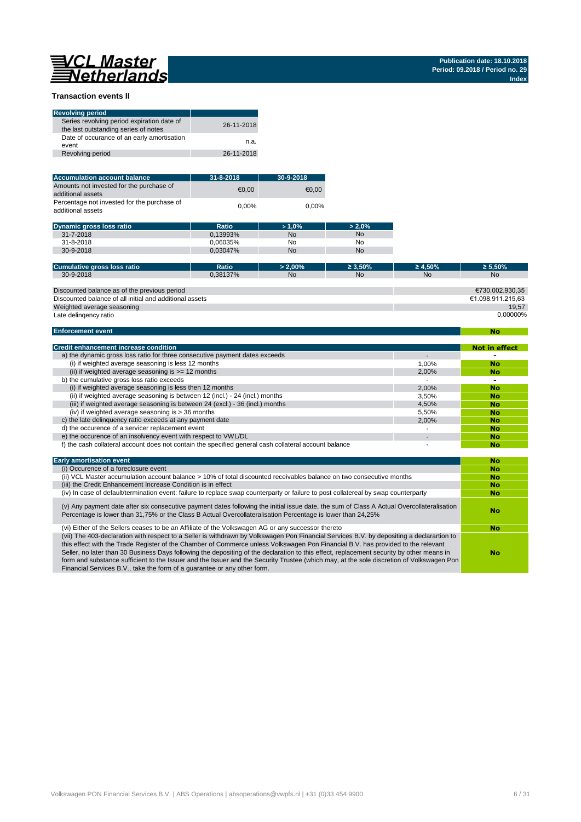# 

**No**

#### **Transaction events II**

| <b>Revolving period</b>                                                            |            |
|------------------------------------------------------------------------------------|------------|
| Series revolving period expiration date of<br>the last outstanding series of notes | 26-11-2018 |
| Date of occurance of an early amortisation<br>event                                | n.a.       |
| Revolving period                                                                   | 26-11-2018 |

| <b>Accumulation account balance</b>                              | $31 - 8 - 2018$ | 30-9-2018 |
|------------------------------------------------------------------|-----------------|-----------|
| Amounts not invested for the purchase of<br>additional assets    | €0.00           | €0.00     |
| Percentage not invested for the purchase of<br>additional assets | $0.00\%$        | $0.00\%$  |

| <b>Dynamic gross loss ratio</b> | Ratio    | $>1.0\%$  | $> 2.0\%$ |
|---------------------------------|----------|-----------|-----------|
| 31-7-2018                       | 0.13993% | <b>No</b> | <b>No</b> |
| 31-8-2018                       | 0.06035% | No        | No        |
| 30-9-2018                       | 0.03047% | <b>No</b> | <b>No</b> |

| <b>Cumulative gross loss ratio</b>                      | Ratio    | $> 2.00\%$ | $\geq 3.50\%$ | $\geq 4.50\%$ | $\geq 5.50\%$     |
|---------------------------------------------------------|----------|------------|---------------|---------------|-------------------|
| $30 - 9 - 2018$                                         | 0.38137% | <b>No</b>  | <b>No</b>     | <b>No</b>     | <b>No</b>         |
|                                                         |          |            |               |               |                   |
| Discounted balance as of the previous period            |          |            |               |               | €730.002.930.35   |
| Discounted balance of all initial and additional assets |          |            |               |               | €1.098.911.215.63 |
| Weighted average seasoning                              |          |            |               |               | 19.57             |
| Late delingency ratio                                   |          |            |               |               | 0.00000%          |

#### **Enforcement event**

| <b>Credit enhancement increase condition</b>                                                          |       | Not in effect |
|-------------------------------------------------------------------------------------------------------|-------|---------------|
| a) the dynamic gross loss ratio for three consecutive payment dates exceeds                           |       |               |
| (i) if weighted average seasoning is less 12 months                                                   | 1.00% | <b>No</b>     |
| (ii) if weighted average seasoning is $\geq$ = 12 months                                              | 2.00% | No            |
| b) the cumulative gross loss ratio exceeds                                                            |       |               |
| (i) if weighted average seasoning is less then 12 months                                              | 2.00% | <b>No</b>     |
| (ii) if weighted average seasoning is between 12 (incl.) - 24 (incl.) months                          | 3.50% | No            |
| (iii) if weighted average seasoning is between 24 (excl.) - 36 (incl.) months                         | 4.50% | No            |
| (iv) if weighted average seasoning is $>$ 36 months                                                   | 5.50% | No            |
| c) the late delinguency ratio exceeds at any payment date                                             | 2.00% | No            |
| d) the occurence of a servicer replacement event                                                      |       | No            |
| e) the occurence of an insolvency event with respect to VWL/DL                                        |       | No            |
| f) the cash collateral account does not contain the specified general cash collateral account balance |       | No            |

| <b>Early amortisation event</b>                                                                                                                                                                                                                                                                                                                                                                                                                                                                                                                                                                                                                    | No        |
|----------------------------------------------------------------------------------------------------------------------------------------------------------------------------------------------------------------------------------------------------------------------------------------------------------------------------------------------------------------------------------------------------------------------------------------------------------------------------------------------------------------------------------------------------------------------------------------------------------------------------------------------------|-----------|
| (i) Occurence of a foreclosure event                                                                                                                                                                                                                                                                                                                                                                                                                                                                                                                                                                                                               | <b>No</b> |
| (ii) VCL Master accumulation account balance > 10% of total discounted receivables balance on two consecutive months                                                                                                                                                                                                                                                                                                                                                                                                                                                                                                                               | <b>No</b> |
| (iii) the Credit Enhancement Increase Condition is in effect                                                                                                                                                                                                                                                                                                                                                                                                                                                                                                                                                                                       | <b>No</b> |
| (iv) In case of default/termination event: failure to replace swap counterparty or failure to post collatereal by swap counterparty                                                                                                                                                                                                                                                                                                                                                                                                                                                                                                                | <b>No</b> |
| (v) Any payment date after six consecutive payment dates following the initial issue date, the sum of Class A Actual Overcollateralisation<br>Percentage is lower than 31,75% or the Class B Actual Overcollateralisation Percentage is lower than 24,25%                                                                                                                                                                                                                                                                                                                                                                                          | No        |
| (vi) Either of the Sellers ceases to be an Affiliate of the Volkswagen AG or any successor thereto                                                                                                                                                                                                                                                                                                                                                                                                                                                                                                                                                 | <b>No</b> |
| (vii) The 403-declaration with respect to a Seller is withdrawn by Volkswagen Pon Financial Services B.V. by depositing a declarartion to<br>this effect with the Trade Register of the Chamber of Commerce unless Volkswagen Pon Financial B.V. has provided to the relevant<br>Seller, no later than 30 Business Days following the depositing of the declaration to this effect, replacement security by other means in<br>form and substance sufficient to the Issuer and the Issuer and the Security Trustee (which may, at the sole discretion of Volkswagen Pon<br>Financial Services B.V., take the form of a quarantee or any other form. | No        |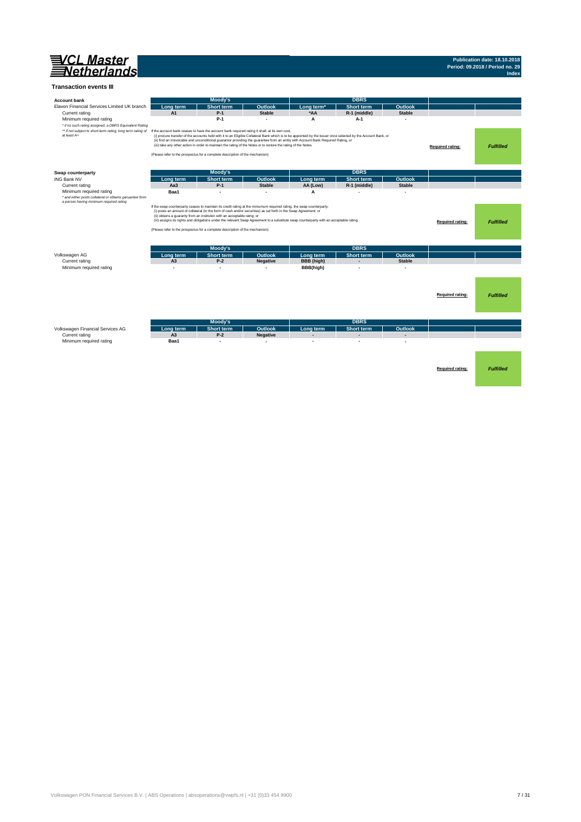

#### **Transaction events III**

| <b>Account bank</b>                                                                                                                                                       |                 | Moody's                                                                      |                                                                                                                                                                                                                                           |                                                                                                                                                                                                                                                                                                    | <b>DBRS</b>              |               |                         |                  |
|---------------------------------------------------------------------------------------------------------------------------------------------------------------------------|-----------------|------------------------------------------------------------------------------|-------------------------------------------------------------------------------------------------------------------------------------------------------------------------------------------------------------------------------------------|----------------------------------------------------------------------------------------------------------------------------------------------------------------------------------------------------------------------------------------------------------------------------------------------------|--------------------------|---------------|-------------------------|------------------|
| Elavon Financial Services Limited UK branch                                                                                                                               | Long term       | <b>Short term</b>                                                            | Outlook                                                                                                                                                                                                                                   | Long term <sup>*</sup>                                                                                                                                                                                                                                                                             | <b>Short term</b>        | Outlook       |                         |                  |
| Current rating                                                                                                                                                            | A1              | $P-1$                                                                        | <b>Stable</b>                                                                                                                                                                                                                             | *AA                                                                                                                                                                                                                                                                                                | R-1 (middle)             | <b>Stable</b> |                         |                  |
| Minimum required rating<br>* if no such rating assigned, a DBRS Equivalent Rating                                                                                         |                 | $P-1$                                                                        | $\overline{\phantom{a}}$                                                                                                                                                                                                                  | A                                                                                                                                                                                                                                                                                                  | $A-1$                    |               |                         |                  |
| ** if not subject to short-term rating, long term rating of If the account bank ceases to have the account bank required rating it shall, at its own cost,<br>at least A+ |                 | (Please refer to the prospectus for a complete description of the mechanism) | (iii) take any other action in order to maintain the rating of the Notes or to restore the rating of the Notes.                                                                                                                           | (i) procure transfer of the accounts held with it to an Eligible Collateral Bank which is to be appointed by the Issuer once selected by the Account Bank, or<br>(ii) find an irrevocable and unconditional guarantor providing the guarantee from an entity with Account Bank Required Rating, or |                          |               | <b>Required rating:</b> | <b>Fulfilled</b> |
| Swap counterparty                                                                                                                                                         |                 | Moody's                                                                      |                                                                                                                                                                                                                                           |                                                                                                                                                                                                                                                                                                    | <b>DBRS</b>              |               |                         |                  |
| <b>ING Bank NV</b>                                                                                                                                                        | Long term       | <b>Short term</b>                                                            | Outlook                                                                                                                                                                                                                                   | Long term                                                                                                                                                                                                                                                                                          | <b>Short term</b>        | Outlook       |                         |                  |
| Current rating                                                                                                                                                            | Aa <sub>3</sub> | $P-1$                                                                        | <b>Stable</b>                                                                                                                                                                                                                             | AA (Low)                                                                                                                                                                                                                                                                                           | R-1 (middle)             | <b>Stable</b> |                         |                  |
| Minimum required rating<br>* and either posts collateral or obtains garuantee from<br>a person having minimum required rating                                             | Baa1            | $\overline{a}$                                                               | $\overline{\phantom{a}}$                                                                                                                                                                                                                  | A                                                                                                                                                                                                                                                                                                  |                          |               |                         |                  |
|                                                                                                                                                                           |                 | (ii) obtains a guaranty from an instituton with an acceptable ratng; or      | If the swap counterparty ceases to maintain its credit rating at the miniumum required rating, the swap counterparty:<br>(i) posts an amount of collateral (in the form of cash and/or securities) as set forth in the Swap Agreement; or | (iii) assigns its rights and obligations under the relevant Swap Agreement to a substitute swap counterparty with an acceptable rating.                                                                                                                                                            |                          |               | Required rating:        | <b>Fulfilled</b> |
|                                                                                                                                                                           |                 | (Please refer to the prospectus for a complete description of the mechanism) |                                                                                                                                                                                                                                           |                                                                                                                                                                                                                                                                                                    |                          |               |                         |                  |
|                                                                                                                                                                           |                 | Moody's                                                                      |                                                                                                                                                                                                                                           |                                                                                                                                                                                                                                                                                                    | <b>DBRS</b>              |               |                         |                  |
| Volkswagen AG                                                                                                                                                             | Long term       | <b>Short term</b>                                                            | Outlook                                                                                                                                                                                                                                   | Long term                                                                                                                                                                                                                                                                                          | Short term               | Outlook       |                         |                  |
| Current rating                                                                                                                                                            | A <sub>3</sub>  | $P-2$                                                                        | <b>Negative</b>                                                                                                                                                                                                                           | BBB (high)                                                                                                                                                                                                                                                                                         | $\overline{\phantom{a}}$ | <b>Stable</b> |                         |                  |
| Minimum required rating                                                                                                                                                   |                 | $\overline{a}$                                                               |                                                                                                                                                                                                                                           | BBB(high)                                                                                                                                                                                                                                                                                          |                          |               |                         |                  |
|                                                                                                                                                                           |                 |                                                                              |                                                                                                                                                                                                                                           |                                                                                                                                                                                                                                                                                                    |                          |               |                         |                  |
|                                                                                                                                                                           |                 |                                                                              |                                                                                                                                                                                                                                           |                                                                                                                                                                                                                                                                                                    |                          |               | Required rating:        | <b>Fulfilled</b> |
|                                                                                                                                                                           |                 | Moody's                                                                      |                                                                                                                                                                                                                                           |                                                                                                                                                                                                                                                                                                    | <b>DBRS</b>              |               |                         |                  |
| Volkswagen Financial Services AG                                                                                                                                          | Long term       | <b>Short term</b>                                                            | Outlook                                                                                                                                                                                                                                   | Long term                                                                                                                                                                                                                                                                                          | <b>Short term</b>        | Outlook       |                         |                  |
| Current rating                                                                                                                                                            | A <sub>3</sub>  | $P-2$                                                                        | <b>Negative</b>                                                                                                                                                                                                                           |                                                                                                                                                                                                                                                                                                    |                          |               |                         |                  |
| Minimum required rating                                                                                                                                                   | Baa1            | ٠                                                                            | $\overline{\phantom{a}}$                                                                                                                                                                                                                  |                                                                                                                                                                                                                                                                                                    |                          |               |                         |                  |
|                                                                                                                                                                           |                 |                                                                              |                                                                                                                                                                                                                                           |                                                                                                                                                                                                                                                                                                    |                          |               |                         |                  |
|                                                                                                                                                                           |                 |                                                                              |                                                                                                                                                                                                                                           |                                                                                                                                                                                                                                                                                                    |                          |               |                         |                  |
|                                                                                                                                                                           |                 |                                                                              |                                                                                                                                                                                                                                           |                                                                                                                                                                                                                                                                                                    |                          |               |                         |                  |
|                                                                                                                                                                           |                 |                                                                              |                                                                                                                                                                                                                                           |                                                                                                                                                                                                                                                                                                    |                          |               | Required rating:        | <b>Fulfilled</b> |
|                                                                                                                                                                           |                 |                                                                              |                                                                                                                                                                                                                                           |                                                                                                                                                                                                                                                                                                    |                          |               |                         |                  |
|                                                                                                                                                                           |                 |                                                                              |                                                                                                                                                                                                                                           |                                                                                                                                                                                                                                                                                                    |                          |               |                         |                  |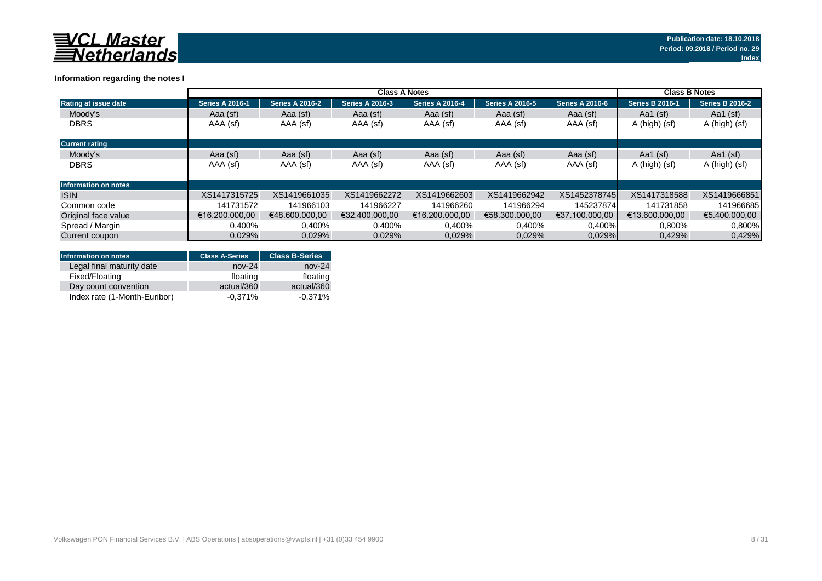

### **Information regarding the notes I**

|                             | <b>Class A Notes</b>   |                        |                        |                        |                        |                        |                        | <b>Class B Notes</b>   |  |
|-----------------------------|------------------------|------------------------|------------------------|------------------------|------------------------|------------------------|------------------------|------------------------|--|
| Rating at issue date        | <b>Series A 2016-1</b> | <b>Series A 2016-2</b> | <b>Series A 2016-3</b> | <b>Series A 2016-4</b> | <b>Series A 2016-5</b> | <b>Series A 2016-6</b> | <b>Series B 2016-1</b> | <b>Series B 2016-2</b> |  |
| Moody's                     | Aaa (sf)               | Aaa (sf)               | Aaa (sf)               | Aaa (sf)               | Aaa (sf)               | Aaa (sf)               | Aa1 $(sf)$             | Aa1 $(sf)$             |  |
| <b>DBRS</b>                 | AAA (sf)               | AAA (sf)               | AAA (sf)               | AAA (sf)               | AAA (sf)               | AAA (sf)               | A (high) (sf)          | A (high) (sf)          |  |
| <b>Current rating</b>       |                        |                        |                        |                        |                        |                        |                        |                        |  |
| Moody's                     | Aaa (sf)               | Aaa (sf)               | Aaa (sf)               | Aaa (sf)               | Aaa (sf)               | Aaa (sf)               | Aa1 $(sf)$             | Aa1 $(sf)$             |  |
| <b>DBRS</b>                 | AAA (sf)               | AAA (sf)               | AAA (sf)               | AAA (sf)               | AAA (sf)               | AAA (sf)               | A (high) (sf)          | A (high) (sf)          |  |
| <b>Information on notes</b> |                        |                        |                        |                        |                        |                        |                        |                        |  |
| <b>ISIN</b>                 | XS1417315725           | XS1419661035           | XS1419662272           | XS1419662603           | XS1419662942           | XS1452378745           | XS1417318588           | XS1419666851           |  |
| Common code                 | 141731572              | 141966103              | 141966227              | 141966260              | 141966294              | 145237874              | 141731858              | 141966685              |  |
| Original face value         | €16.200.000.00         | €48.600.000.00         | €32.400.000.00         | €16.200.000.00         | €58.300.000.00         | €37.100.000.00         | €13.600.000.00         | €5.400.000.00          |  |
| Spread / Margin             | 0,400%                 | 0,400%                 | 0,400%                 | 0,400%                 | 0,400%                 | $0,400\%$              | 0,800%                 | 0.800%                 |  |
| Current coupon              | 0.029%                 | 0.029%                 | 0,029%                 | 0.029%                 | 0,029%                 | 0.029%                 | 0,429%                 | 0,429%                 |  |

| <b>Information on notes</b>  | <b>Class A-Series</b> | <b>Class B-Series</b> |
|------------------------------|-----------------------|-----------------------|
| Legal final maturity date    | $nov-24$              | $nov-24$              |
| Fixed/Floating               | floating              | floating              |
| Day count convention         | actual/360            | actual/360            |
| Index rate (1-Month-Euribor) | $-0.371\%$            | $-0.371%$             |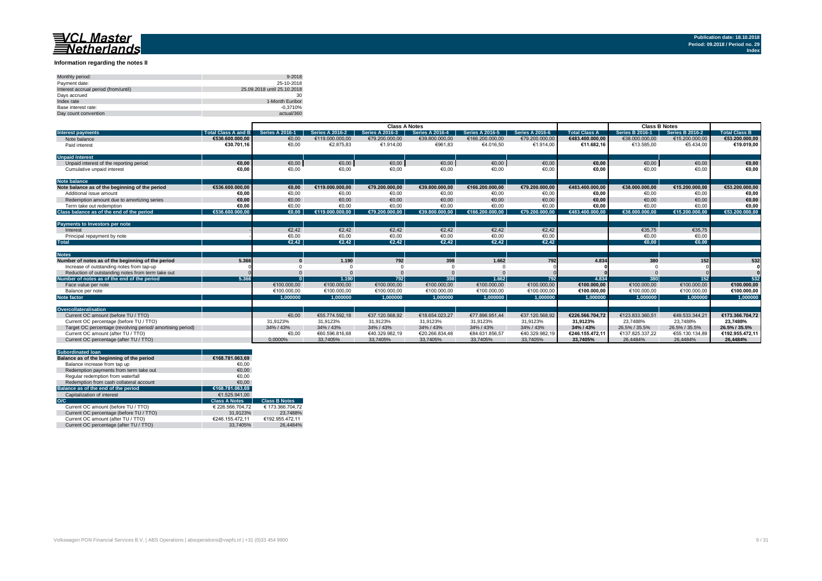#### **Information regarding the notes II**

| Monthly period:                      | $9 - 2018$                  |
|--------------------------------------|-----------------------------|
| Payment date:                        | 25-10-2018                  |
| Interest accrual period (from/until) | 25.09.2018 until 25.10.2018 |
| Davs accrued                         | 30                          |
| Index rate                           | 1-Month Euribor             |
| Base interest rate:                  | $-0.3710%$                  |
| Day count convention                 | actual/360                  |

|                                                           |                            | <b>Class A Notes</b>   |                        |                        |                        |                        | <b>Class B Notes</b>   |                      |                        |                        |                      |
|-----------------------------------------------------------|----------------------------|------------------------|------------------------|------------------------|------------------------|------------------------|------------------------|----------------------|------------------------|------------------------|----------------------|
| <b>Interest payments</b>                                  | <b>Total Class A and B</b> | <b>Series A 2016-1</b> | <b>Series A 2016-2</b> | <b>Series A 2016-3</b> | <b>Series A 2016-4</b> | <b>Series A 2016-5</b> | <b>Series A 2016-6</b> | <b>Total Class A</b> | <b>Series B 2016-1</b> | <b>Series B 2016-2</b> | <b>Total Class B</b> |
| Note balance                                              | €536.600.000.00            | €0.00                  | €119,000,000,00        | €79.200.000.00         | €39.800.000.00         | €166.200.000.00        | €79.200.000,00         | €483.400.000.00      | €38,000,000,00         | €15.200.000,00         | €53.200.000,00       |
| Paid interest                                             | €30.701.16                 | €0,00                  | €2.875,83              | €1.914,00              | €961,83                | €4.016,50              | €1.914,00              | €11.682.16           | €13.585,00             | €5.434.00              | €19.019,00           |
| <b>Unpaid Interest</b>                                    |                            |                        |                        |                        |                        |                        |                        |                      |                        |                        |                      |
| Unpaid interest of the reporting period                   | €0,00                      | €0,00                  | $\epsilon$ 0,00        | €0,00                  | €0,00                  | €0,00                  | €0,00                  | €0,00                | €0,00                  | €0,00                  | €0,00                |
| Cumulative unpaid interest                                | €0.00                      | €0.00                  | €0.00                  | €0.00                  | €0.00                  | €0.00                  | €0.00                  | €0.00                | €0.00                  | €0.00                  | €0.00                |
| <b>Note balance</b>                                       |                            |                        |                        |                        |                        |                        |                        |                      |                        |                        |                      |
| Note balance as of the beginning of the period            | €536.600.000.00            | €0.00                  | €119.000.000.00        | €79.200.000.00         | €39.800.000.00         | €166.200.000.00        | €79.200.000,00         | €483.400.000.00      | €38.000.000.00         | €15.200.000,00         | €53.200.000,00       |
| Additional issue amount                                   | €0.00                      | €0,00                  | €0,00                  | €0,00                  | €0,00                  | €0.00                  | €0,00                  | €0.00                | €0.00                  | €0,00                  | €0,00                |
| Redemption amount due to amortizing series                | €0.00                      | €0.00                  | €0.00                  | €0.00                  | €0.00                  | €0.00                  | €0,00                  | €0.00                | €0.00                  | €0,00                  | €0,00                |
| Term take out redemption                                  | €0.00                      | €0.00                  | €0.00                  | €0.00                  | €0.00                  | €0.00                  | €0.00                  | €0.00                | €0.00                  | €0.00                  | €0.00                |
| Class balance as of the end of the period                 | €536.600.000.00            | $\epsilon$ 0.00        | €119.000.000.00        | €79.200.000.00         | €39.800.000.00         | €166.200.000.00        | €79.200.000.00         | €483.400.000.00      | €38.000.000.00         | €15.200.000.00         | €53.200.000.00       |
| Payments to Investors per note                            |                            |                        |                        |                        |                        |                        |                        |                      |                        |                        |                      |
| Interest                                                  |                            | €2.42                  | €2.42                  | €2.42                  | €2.42                  | €2.42                  | €2.42                  |                      | €35.75                 | €35,75                 |                      |
| Principal repayment by note                               |                            | €0,00                  | €0,00                  | €0.00                  | €0,00                  | €0,00                  | €0,00                  |                      | €0.00                  | €0,00                  |                      |
| <b>Total</b>                                              |                            | €2.42                  | E2.42                  | E2.42                  | €2.42                  | $\epsilon$ 2.42        | €2.42                  |                      | €0.00                  | €0.00                  |                      |
|                                                           |                            |                        |                        |                        |                        |                        |                        |                      |                        |                        |                      |
| <b>Notes</b>                                              |                            |                        |                        |                        |                        |                        |                        |                      |                        |                        |                      |
| Number of notes as of the beginning of the period         | 5.366                      |                        | 1.190                  | 792                    | 398                    | 1.662                  | 792                    | 4.834                | 380                    | 152                    | 532                  |
| Increase of outstanding notes from tap-up                 |                            |                        |                        |                        |                        |                        |                        |                      |                        |                        |                      |
| Reduction of outstanding notes from term take out         |                            |                        |                        |                        |                        |                        |                        |                      |                        |                        |                      |
| Number of notes as of the end of the period               | 5.366                      |                        | 1.190                  | 792                    | 398                    | 1.662                  | 792                    | 4.834                | 380                    | 152                    | 532                  |
| Face value per note                                       |                            | €100,000,00            | €100,000,00            | €100.000,00            | €100,000,00            | €100,000,00            | €100.000,00            | €100.000.00          | €100.000,00            | €100,000,00            | €100.000,00          |
| Balance per note                                          |                            | €100.000.00            | €100.000.00            | €100.000,00            | €100.000.00            | €100.000.00            | €100.000.00            | €100.000,00          | €100.000.00            | €100.000.00            | €100.000,00          |
| Note factor                                               |                            | 1.000000               | 1.000000               | 1.000000               | 1.000000               | 1.000000               | 1.000000               | 1.000000             | 1.000000               | 1.000000               | 1.000000             |
|                                                           |                            |                        |                        |                        |                        |                        |                        |                      |                        |                        |                      |
| Overcollateralisation                                     |                            |                        |                        |                        |                        |                        |                        |                      |                        |                        |                      |
| Current OC amount (before TU / TTO)                       |                            | €0.00                  | €55.774.592.18         | €37.120.568.92         | €18.654.023.27         | €77.896.951.44         | €37.120.568.92         | €226.566.704.72      | €123.833.360.51        | €49.533.344.21         | €173.366.704.72      |
| Current OC percentage (before TU / TTO)                   |                            | 31.9123%               | 31.9123%               | 31.9123%               | 31.9123%               | 31.9123%               | 31.9123%               | 31.9123%             | 23.7488%               | 23.7488%               | 23.7488%             |
| Target OC percentage (revolving period/amortising period) |                            | 34% / 43%              | 34% / 43%              | 34% / 43%              | 34% / 43%              | 34% / 43%              | 34% / 43%              | 34% / 43%            | 26.5% / 35.5%          | 26.5% / 35.5%          | 26.5% / 35.5%        |
| Current OC amount (after TU / TTO)                        |                            | €0,00                  | €60.596.816,68         | €40.329.982,19         | €20.266.834,48         | €84.631.856,57         | €40.329.982,19         | €246.155.472,11      | €137.825.337,22        | €55.130.134,89         | €192.955.472,11      |
| Current OC percentage (after TU / TTO)                    |                            | 0.0000%                | 33.7405%               | 33.7405%               | 33.7405%               | 33.7405%               | 33.7405%               | 33.7405%             | 26.4484%               | 26.4484%               | 26.4484%             |

| <b>Subordinated loan</b>                  |                      |                      |
|-------------------------------------------|----------------------|----------------------|
| Balance as of the beginning of the period | €168.781.063.69      |                      |
| Balance increase from tap up              | €0.00                |                      |
| Redemption payments from term take out    | €0.00                |                      |
| Regular redemption from waterfall         | €0.00                |                      |
| Redemption from cash collateral account   | €0.00                |                      |
| Balance as of the end of the period       | €168.781.063.69      |                      |
| Capitalization of interest                | €1.525.941.00        |                      |
| O/C                                       | <b>Class A Notes</b> | <b>Class B Notes</b> |
| Current OC amount (before TU / TTO)       | € 226.566.704.72     | € 173.366.704.72     |
| Current OC percentage (before TU / TTO)   | 31.9123%             | 23.7488%             |
| Current OC amount (after TU / TTO)        | €246.155.472.11      | €192.955.472.11      |
| Current OC percentage (after TU / TTO)    | 33.7405%             | 26.4484%             |
|                                           |                      |                      |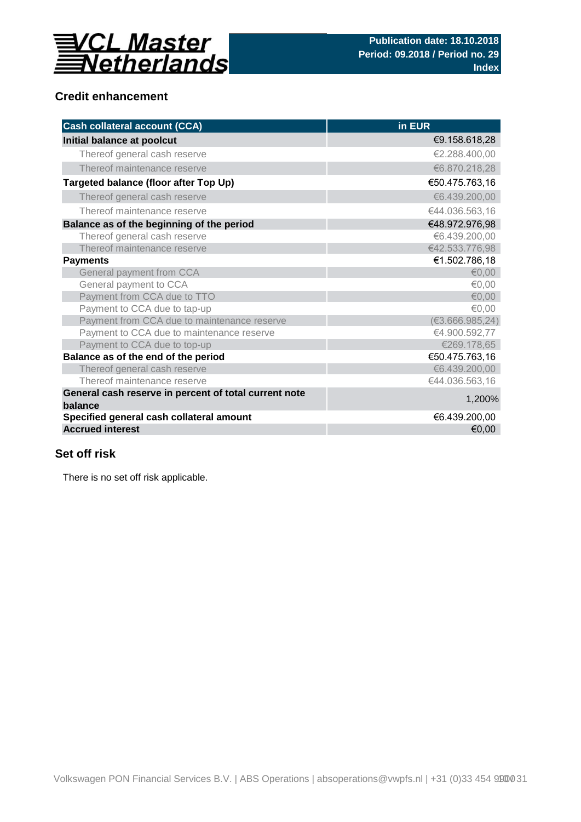

## **Credit enhancement**

| <b>Cash collateral account (CCA)</b>                             | in EUR          |
|------------------------------------------------------------------|-----------------|
| Initial balance at poolcut                                       | €9.158.618,28   |
| Thereof general cash reserve                                     | €2.288.400,00   |
| Thereof maintenance reserve                                      | €6.870.218,28   |
| Targeted balance (floor after Top Up)                            | €50.475.763,16  |
| Thereof general cash reserve                                     | €6.439.200,00   |
| Thereof maintenance reserve                                      | €44.036.563,16  |
| Balance as of the beginning of the period                        | €48.972.976,98  |
| Thereof general cash reserve                                     | €6.439.200,00   |
| Thereof maintenance reserve                                      | €42.533.776,98  |
| <b>Payments</b>                                                  | €1.502.786,18   |
| General payment from CCA                                         | € $0,00$        |
| General payment to CCA                                           | €0,00           |
| Payment from CCA due to TTO                                      | € $0,00$        |
| Payment to CCA due to tap-up                                     | €0,00           |
| Payment from CCA due to maintenance reserve                      | (€3.666.985,24) |
| Payment to CCA due to maintenance reserve                        | €4.900.592,77   |
| Payment to CCA due to top-up                                     | €269.178,65     |
| Balance as of the end of the period                              | €50.475.763,16  |
| Thereof general cash reserve                                     | €6.439.200,00   |
| Thereof maintenance reserve                                      | €44.036.563,16  |
| General cash reserve in percent of total current note<br>balance | 1,200%          |
| Specified general cash collateral amount                         | €6.439.200,00   |
| <b>Accrued interest</b>                                          | €0,00           |

## **Set off risk**

There is no set off risk applicable.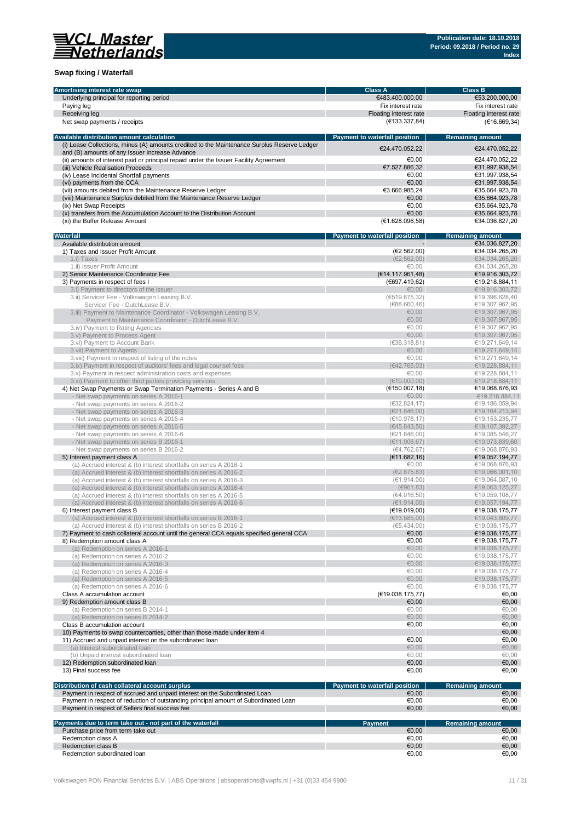

## **Swap fixing / Waterfall**

| Amortising interest rate swap                                                               | <b>Class A</b>                       | <b>Class B</b>          |
|---------------------------------------------------------------------------------------------|--------------------------------------|-------------------------|
| Underlying principal for reporting period                                                   | €483.400.000,00                      | €53.200.000,00          |
| Paying leg                                                                                  | Fix interest rate                    | Fix interest rate       |
|                                                                                             |                                      | Floating interest rate  |
| Receiving leg                                                                               | Floating interest rate               |                         |
| Net swap payments / receipts                                                                | (E133.337,84)                        | (E16.669, 34)           |
|                                                                                             |                                      |                         |
| Available distribution amount calculation                                                   | <b>Payment to waterfall position</b> | <b>Remaining amount</b> |
| (i) Lease Collections, minus (A) amounts credited to the Maintenance Surplus Reserve Ledger | €24.470.052.22                       | €24.470.052,22          |
| and (B) amounts of any Issuer Increase Advance                                              |                                      |                         |
| (ii) amounts of interest paid or principal repaid under the Issuer Facility Agreement       | €0.00                                | €24.470.052,22          |
| (iii) Vehicle Realisation Proceeds                                                          | €7.527.886,32                        | €31.997.938,54          |
| (iv) Lease Incidental Shortfall payments                                                    | €0.00                                | €31.997.938,54          |
| (vi) payments from the CCA                                                                  | €0.00                                | €31.997.938,54          |
| (vii) amounts debited from the Maintenance Reserve Ledger                                   | €3.666.985,24                        | €35.664.923,78          |
|                                                                                             |                                      |                         |
| (viii) Maintenance Surplus debited from the Maintenance Reserve Ledger                      | €0,00                                | €35.664.923,78          |
| (ix) Net Swap Receipts                                                                      | €0.00                                | €35.664.923,78          |
| (x) transfers from the Accumulation Account to the Distribution Account                     | €0.00                                | €35.664.923,78          |
| (xi) the Buffer Release Amount                                                              | (E1.628.096, 58)                     | €34.036.827,20          |
|                                                                                             |                                      |                         |
| Waterfall                                                                                   | Payment to waterfall position        | <b>Remaining amount</b> |
| Available distribution amount                                                               |                                      | €34.036.827,20          |
| 1) Taxes and Issuer Profit Amount                                                           | (E2.562,00)                          | €34.034.265,20          |
| 1.i) Taxes                                                                                  | (E2.562,00)                          | €34.034.265,20          |
|                                                                                             |                                      |                         |
| 1.ii) Issuer Profit Amount                                                                  | €0,00                                | €34.034.265,20          |
| 2) Senior Maintenance Coordinator Fee                                                       | (E14.117.961,48)                     | €19.916.303,72          |
| 3) Payments in respect of fees I                                                            | (€697.419,62)                        | €19.218.884,11          |
| 3.i) Payment to directors of the issuer                                                     | €0,00                                | €19.916.303,72          |
| 3.ii) Servicer Fee - Volkswagen Leasing B.V.                                                | (6519.675, 32)                       | €19.396.628,40          |
| Servicer Fee - DutchLease B.V.                                                              | (688.660, 46)                        | €19.307.967,95          |
| 3.iii) Payment to Maintenance Coordinator - Volkswagen Leasing B.V.                         | €0,00                                | €19.307.967.95          |
| Payment to Maintenance Coordinator - DutchLease B.V.                                        | €0,00                                | €19.307.967,95          |
|                                                                                             |                                      |                         |
| 3.iv) Payment to Rating Agencies                                                            | €0.00                                | €19.307.967,95          |
| 3.v) Payment to Process Agent                                                               | €0,00                                | €19.307.967,95          |
| 3.vi) Payment to Account Bank                                                               | (636.318, 81)                        | €19.271.649.14          |
| 3. vii) Payment to Agents                                                                   | €0,00                                | €19.271.649,14          |
| 3. viii) Payment in respect of listing of the notes                                         | €0.00                                | €19.271.649,14          |
| 3.ix) Payment in respect of auditors' fees and legal counsel fees                           | (€42.765,03)                         | €19.228.884,11          |
| 3.x) Payment in respect administration costs and expenses                                   | €0,00                                | €19.228.884,11          |
|                                                                                             |                                      |                         |
| 3.xi) Payment to other third parties providing services                                     | (€10.000,00)                         | €19.218.884,11          |
| 4) Net Swap Payments or Swap Termination Payments - Series A and B                          | (€150.007, 18)                       | €19.068.876,93          |
| - Net swap payments on series A 2016-1                                                      | €0,00                                | €19.218.884,11          |
| - Net swap payments on series A 2016-2                                                      | (632.824, 17)                        | €19.186.059,94          |
| - Net swap payments on series A 2016-3                                                      | (E21.846,00)                         | €19.164.213,94          |
| - Net swap payments on series A 2016-4                                                      | (€10.978, 17)                        | €19.153.235,77          |
| - Net swap payments on series A 2016-5                                                      | (€45.843,50)                         | €19.107.392,27          |
|                                                                                             |                                      |                         |
| - Net swap payments on series A 2016-6                                                      | (E21.846,00)                         | €19.085.546,27          |
| - Net swap payments on series B 2016-1                                                      | (E11.906, 67)                        | €19.073.639,60          |
| - Net swap payments on series B 2016-2                                                      | (€4.762,67)                          | €19.068.876,93          |
| 5) Interest payment class A                                                                 | (€11.682, 16)                        | €19.057.194,77          |
| (a) Accrued interest & (b) interest shortfalls on series A 2016-1                           | €0,00                                | €19.068.876,93          |
| (a) Accrued interest & (b) interest shortfalls on series A 2016-2                           | (E2.875, 83)                         | €19.066.001,10          |
| (a) Accrued interest & (b) interest shortfalls on series A 2016-3                           | (€1.914,00)                          | €19.064.087,10          |
| (a) Accrued interest & (b) interest shortfalls on series A 2016-4                           | (E961, 83)                           | €19.063.125,27          |
|                                                                                             |                                      |                         |
| (a) Accrued interest & (b) interest shortfalls on series A 2016-5                           | (€4.016,50)                          | €19.059.108,77          |
| (a) Accrued interest & (b) interest shortfalls on series A 2016-6                           | (E1.914,00)                          | €19.057.194,77          |
| 6) Interest payment class B                                                                 | (€19.019,00)                         | €19.038.175,77          |
| (a) Accrued interest & (b) interest shortfalls on series B 2016-1                           | (E13.585,00)                         | €19.043.609,77          |
| (a) Accrued interest & (b) interest shortfalls on series B 2016-2                           | (65.434,00)                          | €19.038.175,77          |
| 7) Payment to cash collateral account until the general CCA equals specified general CCA    | €0,00                                | €19.038.175,77          |
| 8) Redemption amount class A                                                                | €0,00                                | €19.038.175,77          |
|                                                                                             | €0,00                                | €19.038.175,77          |
| (a) Redemption on series A 2016-1                                                           |                                      |                         |
| (a) Redemption on series A 2016-2                                                           | €0,00                                | €19.038.175,77          |
| (a) Redemption on series A 2016-3                                                           | €0,00                                | €19.038.175,77          |
| (a) Redemption on series A 2016-4                                                           | €0,00                                | €19.038.175,77          |
| (a) Redemption on series A 2016-5                                                           | €0,00                                | €19.038.175,77          |
| (a) Redemption on series A 2016-6                                                           | €0,00                                | €19.038.175,77          |
| Class A accumulation account                                                                | (€19.038.175,77)                     | €0,00                   |
| 9) Redemption amount class B                                                                | €0,00                                | €0,00                   |
| (a) Redemption on series B 2014-1                                                           | €0,00                                | €0,00                   |
|                                                                                             | €0,00                                | €0,00                   |
| (a) Redemption on series B 2014-2                                                           |                                      |                         |
| Class B accumulation account                                                                | €0,00                                | €0,00                   |
| 10) Payments to swap counterparties, other than those made under item 4                     |                                      | €0,00                   |
| 11) Accrued and unpaid interest on the subordinated loan                                    | €0,00                                | €0,00                   |
| (a) Interest subordinated loan                                                              | €0,00                                | €0,00                   |
| (b) Unpaid interest subordinated loan                                                       | €0,00                                | €0,00                   |
| 12) Redemption subordinated loan                                                            | €0,00                                | €0,00                   |
|                                                                                             |                                      |                         |
| 13) Final success fee                                                                       | €0,00                                | €0,00                   |
|                                                                                             |                                      |                         |
| Distribution of cash collateral account surplus                                             | Payment to waterfall position        | <b>Remaining amount</b> |
| Payment in respect of accrued and unpaid interest on the Subordinated Loan                  | €0,00                                | €0,00                   |
| Payment in respect of reduction of outstanding principal amount of Subordinated Loan        | €0,00                                | €0,00                   |
| Payment in respect of Sellers final success fee                                             | €0,00                                | €0,00                   |
|                                                                                             |                                      |                         |
| Payments due to term take out - not part of the waterfall                                   | <b>Payment</b>                       | <b>Remaining amount</b> |
|                                                                                             | €0,00                                | €0,00                   |
| Purchase price from term take out                                                           |                                      |                         |
| Redemption class A                                                                          | €0,00                                | €0,00                   |
| Redemption class B                                                                          | €0,00                                | €0,00                   |
| Redemption subordinated loan                                                                | €0,00                                | €0,00                   |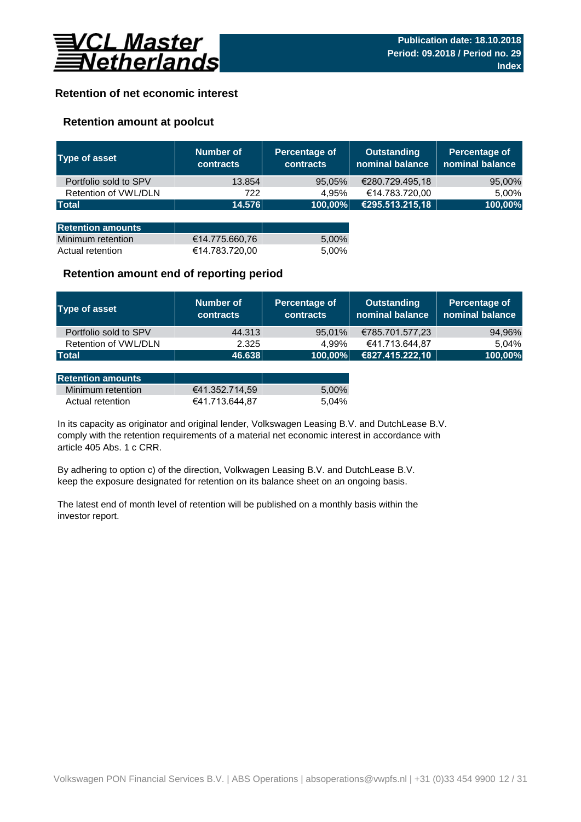

## **Retention of net economic interest**

## **Retention amount at poolcut**

| <b>Type of asset</b>     | Number of<br><b>contracts</b> | Percentage of<br><b>contracts</b> | <b>Outstanding</b><br>nominal balance | Percentage of<br>nominal balance |
|--------------------------|-------------------------------|-----------------------------------|---------------------------------------|----------------------------------|
| Portfolio sold to SPV    | 13.854                        | 95,05%                            | €280.729.495,18                       | 95,00%                           |
| Retention of VWL/DLN     | 722                           | 4.95%                             | €14.783.720,00                        | 5,00%                            |
| <b>Total</b>             | 14.576                        | 100,00%                           | €295.513.215,18                       | 100,00%                          |
|                          |                               |                                   |                                       |                                  |
| <b>Retention amounts</b> |                               |                                   |                                       |                                  |
| Minimum retention        | €14.775.660,76                | 5,00%                             |                                       |                                  |
| Actual retention         | €14.783.720,00                | 5.00%                             |                                       |                                  |

## **Retention amount end of reporting period**

| Type of asset         | Number of<br><b>contracts</b> | Percentage of<br><b>contracts</b> | <b>Outstanding</b><br>nominal balance | Percentage of<br>nominal balance |
|-----------------------|-------------------------------|-----------------------------------|---------------------------------------|----------------------------------|
| Portfolio sold to SPV | 44.313                        | 95.01%                            | €785.701.577,23                       | 94,96%                           |
| Retention of VWL/DLN  | 2.325                         | 4.99%                             | €41.713.644,87                        | 5.04%                            |
| <b>Total</b>          | 46.638                        | 100,00%                           | €827.415.222,10                       | 100,00%                          |

| <b>Retention amounts</b> |                |       |
|--------------------------|----------------|-------|
| Minimum retention        | €41.352.714.59 | 5.00% |
| Actual retention         | €41.713.644.87 | 5.04% |

article 405 Abs. 1 c CRR. In its capacity as originator and original lender, Volkswagen Leasing B.V. and DutchLease B.V. comply with the retention requirements of a material net economic interest in accordance with

By adhering to option c) of the direction, Volkwagen Leasing B.V. and DutchLease B.V. keep the exposure designated for retention on its balance sheet on an ongoing basis.

The latest end of month level of retention will be published on a monthly basis within the investor report.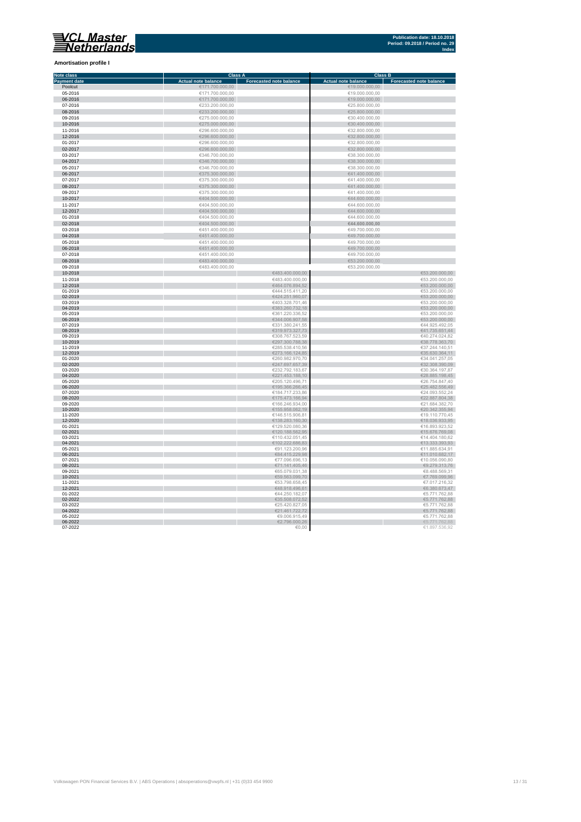**Amortisation profile I**

#### **Class A Class B Class B Class B Class B Class B CLASS B CLASS B CLASS B CLASS B CLASS B CLASS B CLASS B CLASS B CLASS B CLASS B CLASS B CLASS B CLASS B CLASS B CLASS B CLASS B C Note class** ┓ **Payment date and the Sale of the Case of the Sale of the Sale of the Sale of the Sale of the Sale of the Sale of the Sale of the Sale of the Sale of the Sale of the Sale of the Sale of the Sale of the Sale of the Sale of** Poolcut ∈19.000.000,00 ∈171.700.000,00 ∈171.700.000,00 ∈19.000.000,00 ∈19.000.000,00 ∈19.000.000,00 ∈19.000.000,00 ∈19.000.000,00 ∈19.000.000,00 ∈19.000.000,00 ∈19.000.000,00 ∈19.000.000,00 ∈19.000.000,00 ∈19.000.000,00 ∈ r  $\begin{array}{cccccccc} \textbf{06-2016} & & & & & & \in 171.700.000,00 & & & & & & & \in 19.000.000,00 \\ \textbf{07-2016} & & & & & & \in 233.200.000,00 & & & & & & \in 235.00000,00 \\ \textbf{08-2016} & & & & & & & \in 233.200.000,00 & & & & & & \in 235.00000,00 \\ \textbf{09-2016} & & & & & & & \in 235.00000,000 & &$ 07-2016 €233.200.000,00 €25.800.000,00 08-2016 €233.200.000,00 €25.800.000,00 09-2016 €275.000.000,00 €30.400.000,00 Ì. 10-2016 €275.000.000,00 €30.400.000,00 11-2016 €296.600.000,00 €32.800.000,00 11-2016<br>  $C296.600.000,00$ <br>  $C296.600.000,00$ <br>  $C296.600.000,00$ <br>  $C296.600.000,00$ <br>  $C296.600.000,00$ <br>  $C296.600.000,00$ <br>  $C296.600.000,00$ <br>  $C296.600.000,00$ <br>  $C286.600.000,00$ <br>  $C286.600.000,00$ <br>  $C286.600.000,00$ <br>  $C$ 12-2016 €296.600.000,00 €32.800.000,00 01-2017 €296.600.000,00 €32.800.000,00  $6346.700.000,00$  ∈38.300.000,00 ∈38.300.000,00 × 0**4-2017** €38.300.000,00 €346.700.000,00 €346.700.000,00 €38.300.000,00 €38.300.000,00 €38.300.000,00 €38.300.000,00<br>05-2017 €38.300.000,00 €346.700.000,00 €346.700.000,00 €346.700.000,00 €346.700 €38.300.000,00 €38.300.0 × 06-2017 €375.300.000,00 €41.400.000,00  $\epsilon$ 375.300.000,00  $\epsilon$  (and the set of  $\epsilon$ 41.400.000,00  $\epsilon$ 0**8-2017 ∈**41.400.000,00 ∈375.300.000,00 ∈375.300.000,00 ∈41.400.000,00 ∈41.400.000,00 ∈41.400.000,00 ∈41.400.000,00 ∈41.400.000,00 ∈41.400.000,00 ∈41.400.000,00 ∈41.400.000,00 ∈41.400.000,00 ∈41.400.000,00 ∈41.400.000,00 п 10-2017 €404.500.000,00 €44.600.000,00 11-2017 €404.500.000,00 €404.500.000,00 €404.500.000,00 €404.500.000,00 €404.500.000,00 €44.600.000,00 €44.600.000,00 Ì. 12-2017 €404.500.000,00 €404.500.000,00 €404.500.000,00 €404.500.000,00 €44.600.000,00 €44.600.000,00  $01-2018$  ∈404.500.000,00 ∈404.500.000,00 ∈404.500.000,00 ∈404.600.000,00 × 02-2018 €404.500.000,00 **€44.600.000,00** 03-2018 €451.400.000,00 €49.700.000,00 п 04-2018 €451.400.000,00 €49.700.000,00  $65-2018$  ∈451.400.000,00 ∈451.400.000,00 ∈451.400.000,00 ∈49.700.000,00 × 06-2018 €451.400,000,00<br>07-2018 €49.700.000,00 €49.700.000,00 €49.700.000,00<br>08-2018 €49.700.000,00 €431.400.000,00<br>09-2018 €483.400.000,00 €483.400.000,00 €63.200.000,00 €53.200.000,00 Ė 10-2018 €53.200.000,00 €53.200.000,00<br>11-2018 €53.200.000,00 €483.400.000,00 € 483.400.000,00<br>12-2018 €53.200.000,00 €53.200.000,00 € 53.200.000,00 € 53.200.000,00 € 53.200.000,00 € 53.200.000,00 € 53.20  $6444.515.411,20$  ∈53.200.000,00 ∈ €53.200.000,00 × 02-2019 €53.200.000,00 €53.200.000,00 €624.251.960,07 € 6424.251.960,07 € 6424.251.960,07 € 653.200.000,00  $03-2019$  ∈53.200.000,00 i. 04-2019 €383.260.732,18 €53.200.000,00  $0.2019$  ∈53.200.000,000,000 ∈53.200.000,000 ∈53.200.000,000 ∈53.200.000,000 ∈53.200.000,000 ∈53.200.000,000 ∈53.200.000,00 ×. 06-2019 €344.006.907,58 €53.200.000,00  $07$ -2019 ∈44.925.492,05 ∈44.925.492,05 × 08-2019 €319.973.327,73 €41.735.651,44  $09-2019$  ∈40.274.024,82 10-2019 €297.300.788,38 €38.778.363,70 11-2019 ∈37.244.140,51 ∈ €37.244.140,51 ∈ €37.244.140,51 ∈ €37.244.140,51 ∈ €37.244.140,51 ∈ €37.244.140,51 ∈ €37.244.140,51 ∈ ∈ 57.244.140,51 ∈ 57.244.140,51 ∈ 57.244.140,51 ∈ 57.244.140,51 ∈ 57.244.140,51 ∈ 57.244.140, 12-2019 €273.166.124,85 €35.630.364,11 01-2020 ∈34.041.257,05 €34.041.257,05 €34.041.257,05 €34.041.257,05 €34.041.257,05 €34.041.257,05 €34.041.257,05 п 02-2020 €32.308.390,09 €32.308.390,09 €32.308.390,09 €347.697.657,39  $\blacksquare$  $03-2020$  €30.364.197,87 €30.364.197,87 Ì. 04-2020 €28.885.198,45 €28.885.198,45 €28.885.198,45 €28.885.198,45 €28.885.198,45 €28.885.198,45 €28.885.198,45 05-2020 €205.120.496,71 €26.754.847,40 n. 06-2020 €25.482.556,49  $\in$  5.56,49  $\in$  5.56,49  $\in$  5.366.266,45  $\in$  5.366.266,45  $\in$  5.366.265,45  $\in$  5.56,49  $\in$  5.56,49  $\in$  5.56,49  $\in$  5.56,49  $\in$  5.56,49  $\in$  5.56,49  $\in$  5.56,49  $\in$  5.56,49  $\in$  5.56,49  $07$ -2020 ∈24.093.552,24 r. 08-2020 €22.887.804,38 € 20.887.804,38 € 20.887.804,38 € 30.94 € 30.94 € 30.94 € 30.94 € 30.94 € 30.94 € 30.94 € 30.94 € 30.94 € 30.94 € 30.94 € 30.94 € 30.94 € 30.95 € 30.94 € 30.95 € 30.95 € 30.95 € 30.95 € 30.95 € 30.  $09-2020$  ∈21.684.382,70 п 10-2020 €155.958.062,19 €20.342.355,94 11-2020 €146.515.906,81 €19.110.770,45 n. 12-2020 €138.283.160,30 €18.036.933,95 01-2021 ∈129.520.080,36 ∈129.520.080,36 ∈129.520.080,36 ∈129.520.080,36 ∈129.520.080,36 ∈16.893.923,52 02-2021 €15.676.769,08 €120.188.562,95 €120.188.562,95 €120.188.562,95 €120.188.562,95 €15.676.769,08  $03-2021$  ∈ 14.404.180,62 04-2021 €13.333.393,93  $05$ - $2021$  ∈91.123.200,96 ∈91.123.200,96 ∈91.123.200,96 ∈91.123.200,96 ∈91.123.200,96 ∈91.123.200,96 ∈91.123.200,96 ∈91.123.200,96 ∈91.123.200,96 ∈91.123.200,96 ∈91.123.200,96 ∈91.123.200,96 ∈91.123.200,96 ∈91.123.200,9 06-2021 ∈11.010.682,17 ∈11.010.682,17 ∈11.010.682,17 ∈11.010.682,17  $07-2021$  ∈10.056.090,80 ∈ €77.096.696,13 08-2021  $\epsilon$ 71.141.405,46  $\epsilon$ 71.141.405,46  $\epsilon$ 71.141.405,46  $\epsilon$ 9.279.313,76  $\epsilon$ 9.279.313,76  $09-2021$  ∈65.079.031,38  $\epsilon$ 65.079.031,38 ∈8.488.569,31 ∈8.488.569,31 ∈8.488.569,31 ∈8.488.569,31 ∈8.488.569,31 ∈8.488.569,31 ∈8.488.569,31 ∈8.488.569,31 ∈8.488.569,31 ∈8.488.569,31 ∈8.488.569,31 ∈8.488.569,31 ∈8.488.56 10-2021 €7.769.099,96 €7.769.099,96 €7.769.099,96 €7.769.099,96 €89.563.099,70 € 7.769.099,96 € 7.769.099,96 € 11-2021 €7.017.216,32 12-2021 €6.380.673,47 €6.380.673,47 €6.380.673,47 €6.390.673,47 €6.390.673,47 €6.390.673,47 01-2022 ∈5.771.762,88 02-2022 €35.508.072,52 €5.771.762,88  $03$ -2022 ∈5.771.762,88 r. 04-2022 €21.461.722,72 €5.771.762,88  $65.2022$  ∈9.006.915,49  $\epsilon$ 6.006.915,49  $\epsilon$ 5.771.762,88 ÷ 06-2022  $\epsilon$ 2.796.000,26  $\epsilon$ 2.796.000,26  $\epsilon$ 2.796.000,26  $\epsilon$ 2.796.000,26  $\epsilon$

 $07-2022$  ∈1.897.536,92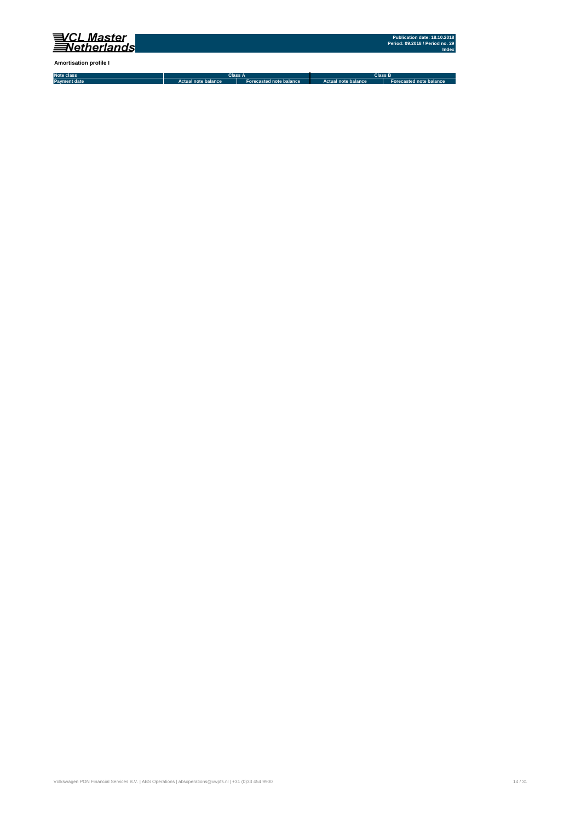

**Amortisation profile I**

**Note class Payment date Actual note balance Forecasted note balance Actual note balance2 Forecasted note balance3 Class A Class B**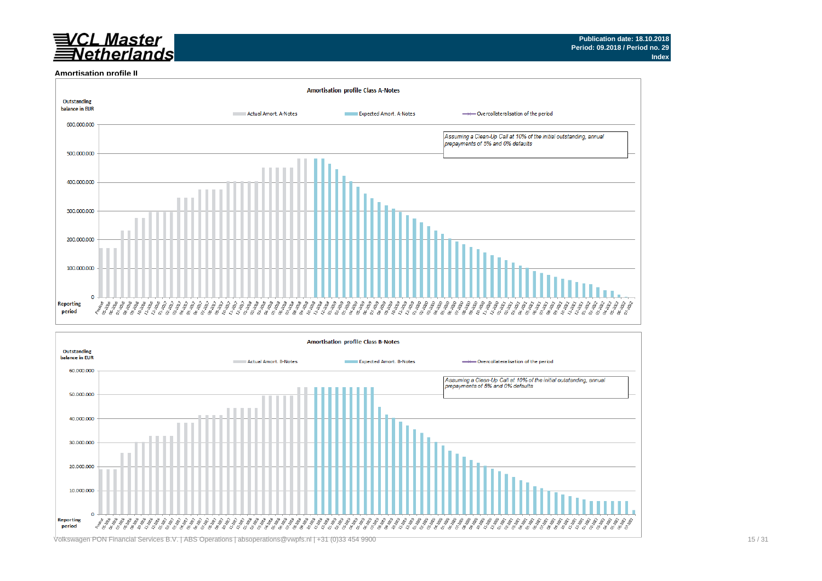# <u>VCL Master</u><br>∄Netherlands

#### **Amortisation profile II**



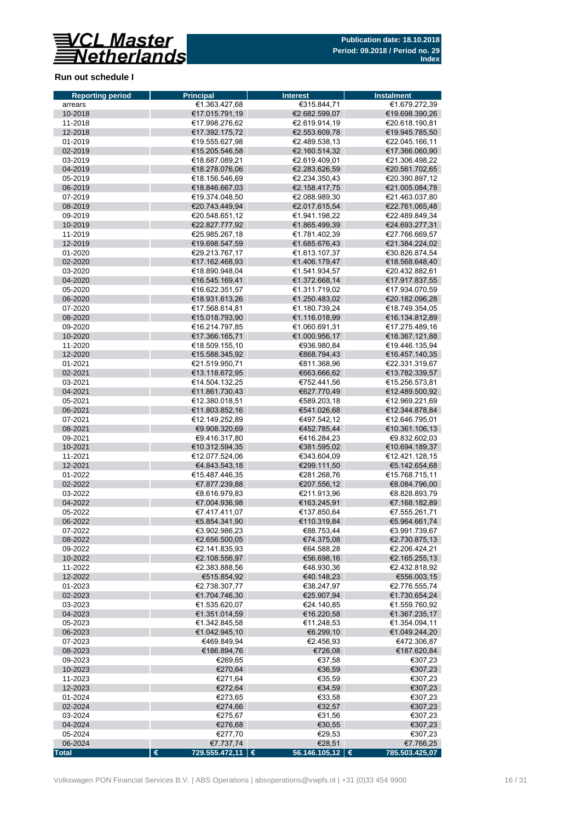

#### **Run out schedule I**

| <b>Reporting period</b> | <b>Principal</b>                     | <b>Interest</b>                | <b>Instalment</b>                |
|-------------------------|--------------------------------------|--------------------------------|----------------------------------|
| arrears                 | €1.363.427,68                        | €315.844,71                    | €1.679.272,39                    |
| 10-2018                 | €17.015.791,19                       | €2.682.599,07                  | €19.698.390,26                   |
| 11-2018                 | €17.998.276,62                       | €2.619.914,19                  | €20.618.190,81                   |
| 12-2018                 | €17.392.175,72                       | €2.553.609,78                  | €19.945.785,50                   |
| 01-2019                 | €19.555.627,98                       | €2.489.538,13                  | €22.045.166,11                   |
| 02-2019                 | €15.205.546,58                       | €2.160.514,32                  | €17.366.060,90                   |
| 03-2019                 | €18.687.089,21                       | €2.619.409,01                  | €21.306.498,22                   |
| 04-2019                 | €18.278.076,06                       | €2.283.626,59                  | €20.561.702,65                   |
| 05-2019                 | €18.156.546,69                       | €2.234.350,43                  | €20.390.897,12                   |
| 06-2019<br>07-2019      | €18.846.667.03<br>€19.374.048.50     | €2.158.417,75<br>€2.088.989,30 | €21.005.084,78                   |
| 08-2019                 | €20.743.449,94                       | €2.017.615,54                  | €21.463.037,80<br>€22.761.065,48 |
| 09-2019                 | €20.548.651,12                       | €1.941.198,22                  | €22.489.849,34                   |
| 10-2019                 | €22.827.777,92                       | €1.865.499.39                  | €24.693.277,31                   |
| 11-2019                 | €25.985.267,18                       | €1.781.402,39                  | €27.766.669,57                   |
| 12-2019                 | €19.698.547,59                       | €1.685.676,43                  | €21.384.224,02                   |
| 01-2020                 | €29.213.767,17                       | €1.613.107,37                  | €30.826.874,54                   |
| 02-2020                 | €17.162.468,93                       | €1.406.179,47                  | €18.568.648,40                   |
| 03-2020                 | €18.890.948,04                       | €1.541.934,57                  | €20.432.882,61                   |
| 04-2020                 | €16.545.169,41                       | €1.372.668,14                  | €17.917.837,55                   |
| 05-2020                 | €16.622.351,57                       | €1.311.719,02                  | €17.934.070,59                   |
| 06-2020                 | €18.931.613,26                       | €1.250.483,02                  | €20.182.096,28                   |
| 07-2020                 | €17.568.614,81                       | €1.180.739,24                  | €18.749.354,05                   |
| 08-2020                 | €15.018.793,90                       | €1.116.018,99                  | €16.134.812,89                   |
| 09-2020                 | €16.214.797,85                       | €1.060.691,31                  | €17.275.489,16                   |
| 10-2020                 | €17.366.165,71                       | €1.000.956,17                  | €18.367.121,88                   |
| 11-2020                 | €18.509.155,10                       | €936.980,84                    | €19.446.135,94                   |
| 12-2020                 | €15.588.345,92                       | €868.794,43                    | €16.457.140,35                   |
| 01-2021                 | €21.519.950,71                       | €811.368,96                    | €22.331.319,67                   |
| 02-2021<br>03-2021      | €13.118.672,95<br>€14.504.132,25     | €663.666,62<br>€752.441,56     | €13.782.339,57<br>€15.256.573,81 |
| 04-2021                 | €11.861.730,43                       | €627.770,49                    | €12.489.500,92                   |
| 05-2021                 | €12.380.018,51                       | €589.203,18                    | €12.969.221,69                   |
| 06-2021                 | €11.803.852,16                       | €541.026,68                    | €12.344.878,84                   |
| 07-2021                 | €12.149.252,89                       | €497.542,12                    | €12.646.795,01                   |
| 08-2021                 | €9.908.320,69                        | €452.785,44                    | €10.361.106,13                   |
| 09-2021                 | €9.416.317,80                        | €416.284,23                    | €9.832.602,03                    |
| 10-2021                 | €10.312.594,35                       | €381.595,02                    | €10.694.189,37                   |
| 11-2021                 | €12.077.524,06                       | €343.604,09                    | €12.421.128,15                   |
| 12-2021                 | €4.843.543,18                        | €299.111,50                    | €5.142.654,68                    |
| 01-2022                 | €15.487.446,35                       | €281.268,76                    | €15.768.715,11                   |
| 02-2022                 | €7.877.239,88                        | €207.556,12                    | €8.084.796,00                    |
| 03-2022                 | €8.616.979,83                        | €211.913,96                    | €8.828.893,79                    |
| 04-2022                 | €7.004.936,98                        | €163.245,91                    | €7.168.182,89                    |
| 05-2022<br>06-2022      | €7.417.411,07<br>€5.854.341,90       | €137.850,64<br>€110.319,84     | €7.555.261,71<br>€5.964.661,74   |
| 07-2022                 | €3.902.986,23                        | €88.753,44                     | €3.991.739,67                    |
| 08-2022                 | €2.656.500,05                        | €74.375,08                     | €2.730.875,13                    |
| 09-2022                 | €2.141.835,93                        | €64.588,28                     | €2.206.424,21                    |
| 10-2022                 | €2.108.556,97                        | €56.698,16                     | €2.165.255,13                    |
| 11-2022                 | €2.383.888,56                        | €48.930,36                     | €2.432.818,92                    |
| 12-2022                 | €515.854,92                          | €40.148,23                     | €556.003,15                      |
| 01-2023                 | €2.738.307,77                        | €38.247,97                     | €2.776.555,74                    |
| 02-2023                 | €1.704.746,30                        | €25.907,94                     | €1.730.654,24                    |
| 03-2023                 | €1.535.620,07                        | €24.140.85                     | €1.559.760,92                    |
| 04-2023                 | €1.351.014,59                        | €16.220,58                     | €1.367.235,17                    |
| 05-2023                 | €1.342.845,58                        | €11.248,53                     | €1.354.094,11                    |
| 06-2023                 | €1.042.945,10                        | €6.299,10                      | €1.049.244,20                    |
| 07-2023                 | €469.849,94                          | €2.456,93                      | €472.306,87                      |
| 08-2023                 | €186.894,76                          | €726,08                        | €187.620,84                      |
| 09-2023                 | €269,65                              | €37,58                         | €307,23                          |
| 10-2023<br>11-2023      | €270,64<br>€271,64                   | €36,59<br>€35,59               | €307,23<br>€307,23               |
| 12-2023                 | €272,64                              | €34,59                         | €307,23                          |
| 01-2024                 | €273,65                              | €33,58                         | €307,23                          |
| 02-2024                 | €274,66                              | €32,57                         | €307,23                          |
| 03-2024                 | €275,67                              | €31,56                         | €307,23                          |
| 04-2024                 | €276,68                              | €30,55                         | €307,23                          |
| 05-2024                 | €277,70                              | €29,53                         | €307,23                          |
| 06-2024                 | €7.737,74                            | €28,51                         | €7.766,25                        |
| <b>Total</b>            | $\pmb{\epsilon}$<br>729.555.472,11 € | 56.146.105,12 $ \epsilon$      | 785.503.425,07                   |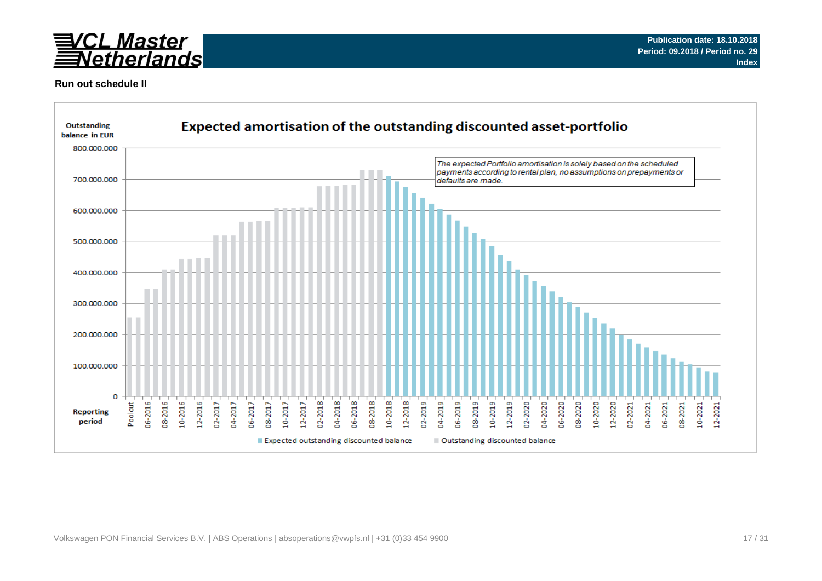

### **Run out schedule II**

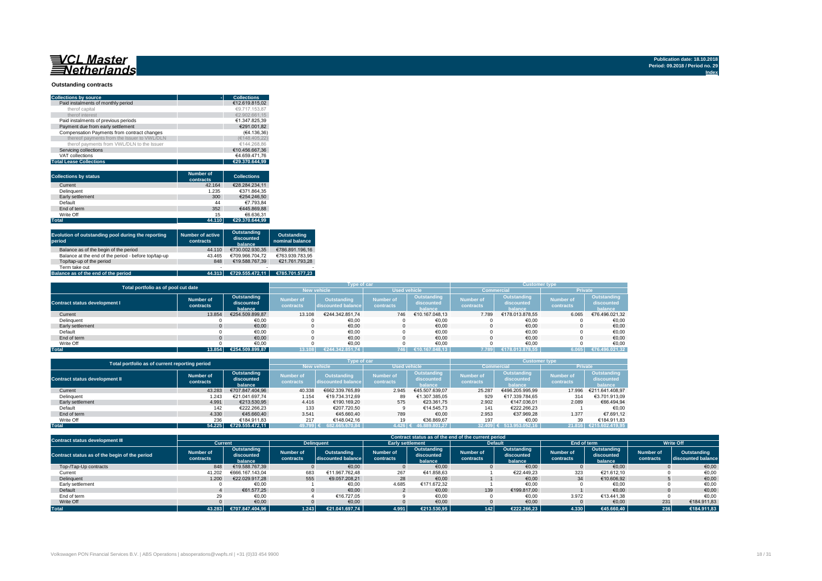## <u>WCL Master</u><br>ENetherlands

#### **Outstanding contracts**

| <b>Collections by source</b>                | <b>Collections</b> |
|---------------------------------------------|--------------------|
| Paid instalments of monthly period          | €12.619.815.02     |
| therof capital                              | €9.717.153.87      |
| therof interest                             | €2.902.661.15      |
| Paid instalments of previous periods        | €1.347.825.39      |
| Payment due from early settlement           | €291.001.82        |
| Compensation Payments from contract changes | (€4.136.36)        |
| thereof payments from the Issuer to VWL/DLN | (€148.405.22)      |
| therof payments from VWL/DLN to the Issuer  | €144.268.86        |
| Servicing collections                       | €10.456.667.36     |
| VAT collections                             | €4.659.471.76      |
| <b>Total Lease Collections</b>              | €29.370.644.99     |

| <b>Collections by status</b> | <b>Number of</b><br>contracts | <b>Collections</b> |
|------------------------------|-------------------------------|--------------------|
| Current                      | 42.164                        | €28.284.234.11     |
| Delinquent                   | 1.235                         | €371.864.35        |
| Early settlement             | 300                           | €254.246.50        |
| Default                      | 44                            | €7.793.84          |
| End of term                  | 352                           | €445.869.88        |
| Write Off                    | 15                            | €6.636.31          |
| <b>Total</b>                 | 44.110                        | €29.370.644.99     |

| Evolution of outstanding pool during the reporting<br>period | <b>Number of active</b><br>contracts | Outstanding<br>discounted<br>balance | Outstanding<br>nominal balance |
|--------------------------------------------------------------|--------------------------------------|--------------------------------------|--------------------------------|
| Balance as of the begin of the period                        | 44.110                               | €730.002.930.35                      | €786.891.196.16                |
| Balance at the end of the period - before top/tap-up         | 43.465                               | €709.966.704.72                      | €763.939.783.95                |
| Top/tap-up of the period                                     | 848                                  | €19.588.767.39                       | €21.761.793.28                 |
| Term take out                                                | $\overline{\phantom{a}}$             |                                      |                                |
| Balance as of the end of the period                          | 44.313                               | €729.555.472.11                      | €785.701.577.23                |

| Total portfolio as of pool cut date  |                    |                           | Type of car         |                    |                  | <b>Customer type</b>      |                  |                           |           |                                  |
|--------------------------------------|--------------------|---------------------------|---------------------|--------------------|------------------|---------------------------|------------------|---------------------------|-----------|----------------------------------|
|                                      | <b>New vehicle</b> |                           | <b>Used vehicle</b> |                    |                  | <b>Commercial</b>         | <b>Private</b>   |                           |           |                                  |
| <b>Contract status development I</b> | Number of          | Outstanding<br>discounted | <b>Number of</b>    | <b>Outstanding</b> | <b>Number of</b> | Outstanding<br>discounted | <b>Number of</b> | Outstanding<br>discounted | Number of | <b>Outstanding</b><br>discounted |
|                                      | contracts          | balance                   | contracts           | discounted balance | contracts        | halance                   | contracts        | halance                   | contracts | balance                          |
| Current                              | 13.854             | €254.509.899.87           | 13.108              | €244.342.851.74    | 746              | €10.167.048.13            | 7.789            | €178.013.878.55           | 6.065     | €76.496.021,32                   |
| Delinquent                           |                    | €0,00                     |                     | €0,00              |                  | €0.00                     |                  | €0,00                     |           | €0,00                            |
| Early settlement                     |                    | €0,00                     |                     | €0,00              |                  | €0,00                     |                  | €0,00                     |           | €0,00                            |
| Default                              |                    | €0.00                     |                     | €0,00              |                  | €0,00                     |                  | €0,00                     |           | €0,00                            |
| End of term                          |                    | €0,00                     |                     | €0.00              |                  | €0.00                     | $\Omega$         | €0.00                     |           | €0,00                            |
| Write Off                            |                    | €0.00                     |                     | €0.00              |                  | €0.00                     |                  | €0.00                     |           | €0.00                            |
| <b>Total</b>                         | 13.854             | €254.509.899.87           | 13.108              | €244.342.851.74    | 746              | €10.167.048.13            | 7.789            | €178.013.878.55           | 6.065     | €76.496.021,32                   |

| Total portfolio as of current reporting period |                        |                                      | Type of car                   |                                          |                               | <b>Customer type</b>                 |                               |                                      |                               |                                      |
|------------------------------------------------|------------------------|--------------------------------------|-------------------------------|------------------------------------------|-------------------------------|--------------------------------------|-------------------------------|--------------------------------------|-------------------------------|--------------------------------------|
|                                                |                        | <b>New vehicle</b>                   |                               | <b>Used vehicle</b>                      |                               | Commercial                           |                               | <b>Private</b>                       |                               |                                      |
| <b>Contract status development II</b>          | Number of<br>contracts | Outstanding<br>discounted<br>balance | <b>Number of</b><br>contracts | <b>Outstanding</b><br>discounted balance | <b>Number of</b><br>contracts | Outstanding<br>discounted<br>balance | <b>Number of</b><br>contracts | Outstanding<br>discounted<br>balance | <b>Number of</b><br>contracts | Outstanding<br>discounted<br>balance |
| Current                                        | 43.283                 | €707.847.404.96                      | 40.338                        | €662.339.765.89                          | 2.945                         | €45.507.639.07                       | 25,287                        | €496.205.995.99                      | 17.996                        | €211.641.408.97                      |
| Delinquent                                     | 1.243                  | €21.041.697.74                       | 1.154                         | €19.734.312.69                           | 89                            | €1.307.385.05                        | 929                           | €17.339.784.65                       | 314                           | €3.701.913.09                        |
| Early settlement                               | 4.991                  | €213.530.95                          | 4.416                         | €190.169.20                              | 575                           | €23.361.75                           | 2.902                         | €147.036.01                          | 2.089                         | €66.494.94                           |
| Default                                        | 142                    | €222.266.23                          | 133                           | €207.720.50                              |                               | €14.545.73                           | 141                           | €222.266.23                          |                               | €0.00                                |
| End of term                                    | 4.330                  | €45.660.40                           | 3.541                         | €45,660.40                               | 789                           | €0.00                                | 2.953                         | €37.969.28                           | 1.377                         | €7.691.12                            |
| Write Off                                      | 236                    | €184.911.83                          | 217                           | €148.042.16                              | 19                            | €36.869.67                           | 197                           | €0.00                                | 39                            | €184.911.83                          |
| <b>Total</b>                                   | 54.225                 | €729.555.472.11                      | 49.799 €                      | 682.665.670.84                           |                               | 4.426 € 46.889.801.27                | 32.409 €                      | 513.953.052.16                       | 21.816                        | €215.602.419.95                      |

| <b>Contract status development III</b>        |                               |                                      |                        |                                   |                               |                                      | Contract status as of the end of the current period |                                      |                               |                                      |                        |                                   |
|-----------------------------------------------|-------------------------------|--------------------------------------|------------------------|-----------------------------------|-------------------------------|--------------------------------------|-----------------------------------------------------|--------------------------------------|-------------------------------|--------------------------------------|------------------------|-----------------------------------|
|                                               | Current                       |                                      | <b>Delinguent</b>      |                                   |                               | <b>Early settlement</b>              |                                                     | <b>Default</b>                       |                               | End of term                          |                        | <b>Write Off</b>                  |
| Contract status as of the begin of the period | <b>Number of</b><br>contracts | Outstanding<br>discounted<br>balance | Number of<br>contracts | Outstanding<br>discounted balance | <b>Number of</b><br>contracts | Outstanding<br>discounted<br>balance | Number of<br>contracts                              | Outstanding<br>discounted<br>balance | <b>Number of</b><br>contracts | Outstanding<br>discounted<br>balance | Number of<br>contracts | Outstanding<br>discounted balance |
| Top-/Tap-Up contracts                         | 848                           | €19.588.767.39                       |                        | €0,00                             |                               | €0.00                                |                                                     | €0,00                                |                               | €0.00                                |                        | €0,00                             |
| Current                                       | 41.202                        | €666.167.143.04                      | 683                    | €11.967.762.48                    | 267                           | €41.858.63                           |                                                     | €22.449.23                           | 323                           | €21.612.10                           |                        | €0,00                             |
| Delinquent                                    | 1.200                         | €22.029.917.28                       | 555                    | €9.057.208.21                     | 28                            | €0.00                                |                                                     | €0,00                                | 34                            | €10.606.92                           |                        | €0,00                             |
| Early settlement                              |                               | €0.00                                |                        | €0,00                             | 4.685                         | €171.672.32                          |                                                     | €0,00                                |                               | €0,00                                |                        | €0,00                             |
| Default                                       |                               | €61.577.25                           |                        | €0.00                             |                               | €0.00                                | 139                                                 | €199.817.00                          |                               | €0.00                                |                        | €0,00                             |
| End of term                                   | 29                            | €0.00                                |                        | €16.727.05                        |                               | €0.00                                |                                                     | €0.00                                | 3.972                         | €13.441.38                           |                        | €0.00                             |
| Write Off                                     |                               | €0.00                                |                        | €0,00                             |                               | €0,00                                |                                                     | €0,00                                |                               | €0,00                                | 231                    | €184.911,83                       |
| <b>Total</b>                                  | 43.283                        | €707.847.404.96                      | 1.243                  | €21.041.697.74                    | 4.991                         | €213.530.95                          | 142                                                 | €222.266.23                          | 4.330                         | €45,660,40                           | 236                    | €184.911.83                       |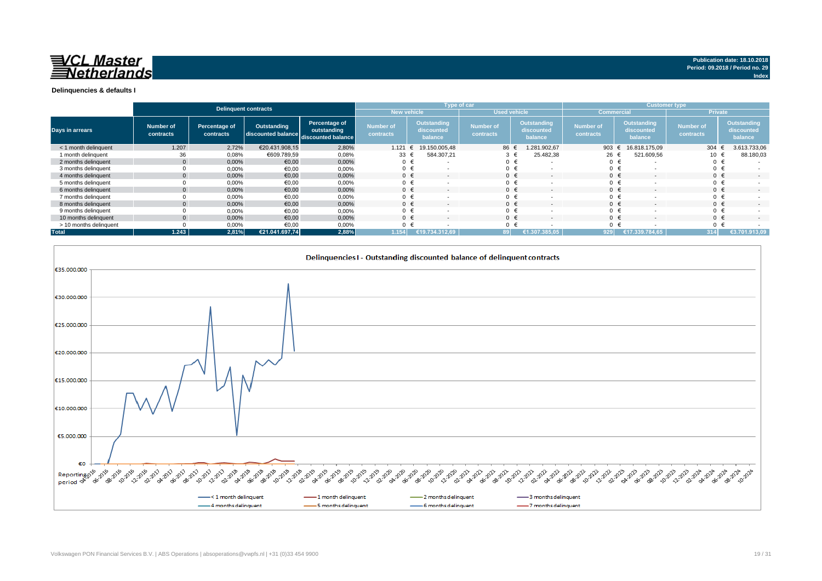

|                        |                        |                            |                                   |                                                    | <b>Type of car</b>            |                                      |  | <b>Customer type</b>          |                                      |                               |                                      |                               |                                      |           |
|------------------------|------------------------|----------------------------|-----------------------------------|----------------------------------------------------|-------------------------------|--------------------------------------|--|-------------------------------|--------------------------------------|-------------------------------|--------------------------------------|-------------------------------|--------------------------------------|-----------|
|                        |                        |                            | <b>Delinquent contracts</b>       |                                                    | New vehicle                   |                                      |  | <b>Used vehicle</b>           |                                      |                               | <b>Commercial</b>                    | <b>Private</b>                |                                      |           |
| Days in arrears        | Number of<br>contracts | Percentage of<br>contracts | Outstanding<br>discounted balance | Percentage of<br>outstanding<br>discounted balance | <b>Number of</b><br>contracts | Outstanding<br>discounted<br>balance |  | <b>Number of</b><br>contracts | Outstanding<br>discounted<br>balance | <b>Number of</b><br>contracts | Outstanding<br>discounted<br>balance | <b>Number of</b><br>contracts | Outstanding<br>discounted<br>balance |           |
| < 1 month delinguent   | 1.207                  | 2,72%                      | €20.431.908.15                    | 2,80%                                              | 1.121                         | 19.150.005.48                        |  | 86                            | 1.281.902.67                         | 903 $\epsilon$                | 16.818.175.09                        | 304                           | 3.613.733,06                         |           |
| 1 month delinquent     | 36                     | 0,08%                      | €609.789.59                       | 0,08%                                              | 33 $\epsilon$                 | 584.307,21                           |  |                               | 25.482,38                            | 26 €                          | 521.609,56                           |                               |                                      | 88.180,03 |
| 2 months delinquent    |                        | 0,00%                      | €0,00                             | 0,00%                                              | 0 €                           |                                      |  | $0 \in$                       | $\overline{\phantom{a}}$             |                               | $0 \in$                              | $0 \in$                       |                                      |           |
| 3 months delinquent    |                        | 0,00%                      | €0,00                             | 0,00%                                              | 0 €                           |                                      |  | €<br>$\Omega$                 | $\overline{\phantom{0}}$             |                               | 0 <sup>1</sup>                       | $0 \in$                       |                                      |           |
| 4 months delinquent    |                        | 0.00%                      | €0.00                             | 0,00%                                              | $0 \in$                       | $\overline{\phantom{a}}$             |  | $0 \in$                       | $\overline{\phantom{a}}$             |                               | $0 \in$                              | $0 \in$                       |                                      |           |
| 5 months delinquent    |                        | 0,00%                      | €0,00                             | 0,00%                                              | $0 \in$                       |                                      |  |                               | $\overline{\phantom{0}}$             | 0                             |                                      | $0 \in$                       |                                      |           |
| 6 months delinquent    |                        | 0,00%                      | €0.00                             | 0,00%                                              | $0 \in$                       |                                      |  | $0 \in$                       | $\overline{\phantom{0}}$             |                               | $0 \in$                              | $0 \in$                       |                                      |           |
| 7 months delinquent    |                        | 0,00%                      | €0,00                             | 0,00%                                              | $0 \in$                       |                                      |  | €                             |                                      |                               | $0 \in$                              | $0 \in$                       |                                      |           |
| 8 months delinquent    |                        | 0,00%                      | €0,00                             | 0,00%                                              | $0 \in$                       |                                      |  | $0 \in$                       | $\overline{\phantom{0}}$             |                               | $0 \in$                              | $0 \in$                       |                                      |           |
| 9 months delinquent    |                        | 0,00%                      | €0,00                             | 0,00%                                              | $0 \in$                       |                                      |  |                               | $\overline{\phantom{0}}$             | $\Omega$                      |                                      | $0 \in$                       |                                      |           |
| 10 months delinquent   |                        | 0,00%                      | €0.00                             | 0,00%                                              | $0 \in$                       | $\overline{\phantom{a}}$             |  | $0 \in$                       | $\overline{\phantom{a}}$             |                               | $0 \in$                              | $0 \in$                       |                                      | $\sim$    |
| > 10 months delinquent |                        | 0,00%                      | €0.00                             | 0,00%                                              |                               |                                      |  |                               | $\overline{\phantom{a}}$             | $\Omega$                      |                                      | $0 \in$                       |                                      |           |
| <b>Total</b>           | 1.243                  | 2,81%                      | €21.041.697,74                    | 2,88%                                              | 1.154                         | 312.69                               |  | 89.                           | $-1.307.385.05$                      | 929                           | 1.784.65                             | 314                           | €3.701.913,09                        |           |

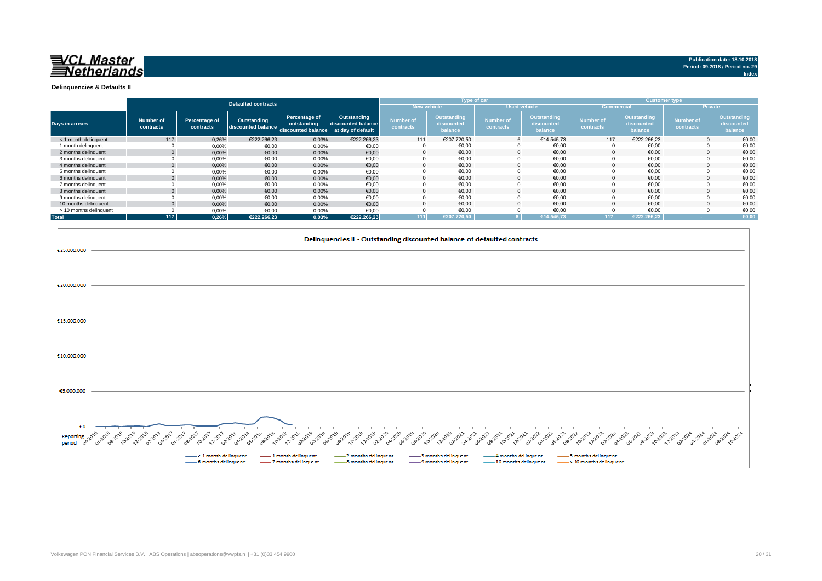

**Index**

**Delinquencies & Defaults II**

|                        |                        |                            |                                   |                                                    |                                                        |                               |                                      | <b>Type of car</b>            |                                      |                               |                                             | <b>Customer type</b>          |                                      |
|------------------------|------------------------|----------------------------|-----------------------------------|----------------------------------------------------|--------------------------------------------------------|-------------------------------|--------------------------------------|-------------------------------|--------------------------------------|-------------------------------|---------------------------------------------|-------------------------------|--------------------------------------|
|                        |                        |                            | <b>Defaulted contracts</b>        |                                                    |                                                        | <b>New vehicle</b>            |                                      | <b>Used vehicle</b>           |                                      | <b>Commercial</b>             |                                             |                               | <b>Private</b>                       |
| Days in arrears        | Number of<br>contracts | Percentage of<br>contracts | Outstanding<br>discounted balance | Percentage of<br>outstanding<br>discounted balance | Outstanding<br>discounted balance<br>at day of default | <b>Number of</b><br>contracts | Outstanding<br>discounted<br>balance | <b>Number of</b><br>contracts | Outstanding<br>discounted<br>balance | <b>Number of</b><br>contracts | <b>Outstanding</b><br>discounted<br>balance | <b>Number of</b><br>contracts | Outstanding<br>discounted<br>palance |
| < 1 month delinquent   | 117                    | 0,26%                      | €222.266.23                       | 0,03%                                              | €222.266,23                                            | 111                           | €207.720.50                          |                               | €14.545.73                           | 117                           | €222.266.23                                 |                               | €0,00                                |
| 1 month delinguent     | $\Omega$               | 0,00%                      | €0,00                             | 0,00%                                              | €0,00                                                  |                               | €0.00                                |                               | €0,00                                |                               | €0,00                                       |                               | €0,00                                |
| 2 months delinquent    | $\mathbf{0}$           | 0,00%                      | €0,00                             | 0,00%                                              | €0,00                                                  |                               | €0.00                                |                               | €0,00                                |                               | €0,00                                       |                               | €0,00                                |
| 3 months delinquent    |                        | 0,00%                      | €0,00                             | 0,00%                                              | €0,00                                                  |                               | €0,00                                |                               | €0,00                                |                               | €0,00                                       |                               | €0,00                                |
| 4 months delinguent    | $\mathbf{0}$           | 0,00%                      | €0,00                             | 0,00%                                              | €0,00                                                  |                               | €0.00                                |                               | €0.00                                |                               | €0.00                                       |                               | €0.00                                |
| 5 months delinguent    |                        | 0,00%                      | €0,00                             | 0,00%                                              | €0,00                                                  |                               | €0.00                                |                               | €0,00                                |                               | €0,00                                       |                               | €0,00                                |
| 6 months delinquent    | $\mathbf{0}$           | 0,00%                      | €0,00                             | 0,00%                                              | €0,00                                                  |                               | €0,00                                |                               | €0,00                                |                               | €0,00                                       |                               | €0,00                                |
| 7 months delinquent    |                        | 0,00%                      | €0,00                             | 0,00%                                              | €0,00                                                  |                               | €0,00                                |                               | €0,00                                |                               | €0,00                                       |                               | €0,00                                |
| 8 months delinquent    | $\mathbf{0}$           | 0,00%                      | €0,00                             | 0,00%                                              | €0,00                                                  |                               | €0.00                                |                               | €0,00                                |                               | €0,00                                       |                               | €0,00                                |
| 9 months delinquent    |                        | 0,00%                      | €0.00                             | 0,00%                                              | €0,00                                                  |                               | €0,00                                |                               | €0,00                                |                               | €0,00                                       |                               | €0,00                                |
| 10 months delinguent   | $\Omega$               | 0,00%                      | €0.00                             | 0.00%                                              | €0,00                                                  |                               | €0.00                                |                               | €0.00                                |                               | €0.00                                       |                               | €0,00                                |
| > 10 months delinquent |                        | 0,00%                      | €0,00                             | 0,00%                                              | €0,00                                                  |                               | €0,00                                |                               | €0,00                                |                               | €0,00                                       |                               | €0,00                                |
| <b>Total</b>           | 117                    | 0.26%                      | €222.266.23                       | 0,03%                                              | €222.266.23                                            | 111                           | €207.720.50                          |                               | €14.545.73                           | 117                           | €222.266.23                                 |                               | €0,00                                |

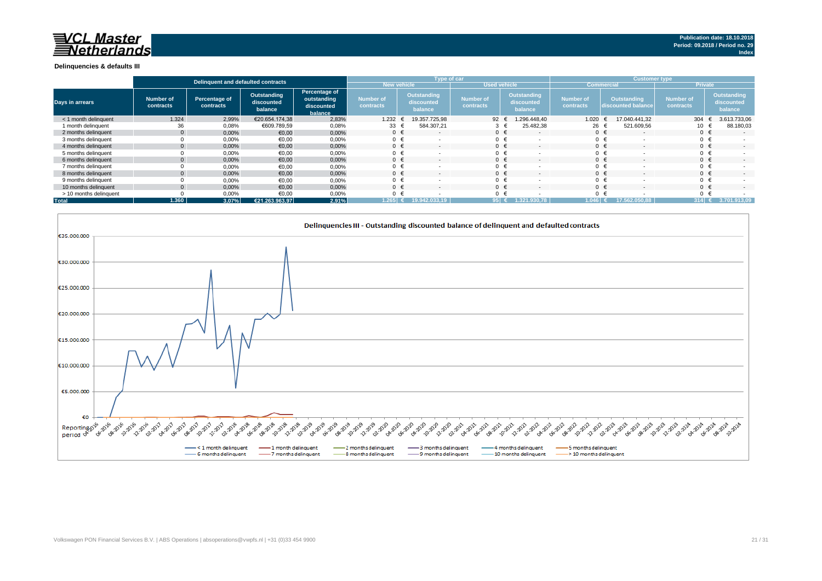#### **Delinquencies & defaults III**

|                        | Delinguent and defaulted contracts |                            |                                      |                                                       |                                      | Type of car                          |                               |                                             | <b>Customer type</b>          |                                   |                               |                                             |
|------------------------|------------------------------------|----------------------------|--------------------------------------|-------------------------------------------------------|--------------------------------------|--------------------------------------|-------------------------------|---------------------------------------------|-------------------------------|-----------------------------------|-------------------------------|---------------------------------------------|
|                        |                                    |                            |                                      |                                                       | <b>New vehicle</b>                   |                                      |                               | <b>Used vehicle</b>                         |                               | <b>Commercial</b>                 | <b>Private</b>                |                                             |
| <b>Days in arrears</b> | Number of<br>contracts             | Percentage of<br>contracts | Outstanding<br>discounted<br>balance | Percentage of<br>outstanding<br>discounted<br>balance | <b>Number of</b><br><b>contracts</b> | Outstanding<br>discounted<br>balance | <b>Number of</b><br>contracts | <b>Outstanding</b><br>discounted<br>balance | <b>Number of</b><br>contracts | Outstanding<br>discounted balance | <b>Number of</b><br>contracts | <b>Outstanding</b><br>discounted<br>balance |
| < 1 month delinguent   | 1.324                              | 2,99%                      | €20.654.174.38                       | 2,83%                                                 | 1.232                                | 19.357.725.98                        | 92 $\epsilon$                 | .296.448.40                                 | 1.020                         | 17.040.441.32                     | 304                           | 3.613.733,06                                |
| 1 month delinquent     | 36                                 | 0,08%                      | €609.789,59                          | 0,08%                                                 | $33 \div$                            | 584.307,21                           |                               | 25.482,38                                   | 26 €                          | 521.609,56                        |                               | 88.180,03                                   |
| 2 months delinquent    |                                    | 0,00%                      | €0,00                                | 0,00%                                                 | $0 \in$                              | $\sim$                               | $0 \in$                       |                                             |                               | $0 \in$                           | $0 \in$                       | $\sim$                                      |
| 3 months delinguent    |                                    | 0,00%                      | €0,00                                | 0,00%                                                 | 0 <sup>1</sup>                       |                                      | $0 \in$                       |                                             |                               | $0 \in$                           |                               |                                             |
| 4 months delinquent    |                                    | 0,00%                      | €0,00                                | 0,00%                                                 | $0 \in$                              | $\sim$                               | $0 \in$                       |                                             |                               | $0 \in$                           | $0 \in$                       | $\sim$                                      |
| 5 months delinquent    |                                    | 0,00%                      | €0,00                                | 0,00%                                                 | 0 <sup>1</sup>                       |                                      | $0 \in$                       |                                             |                               | $0 \in$                           |                               |                                             |
| 6 months delinguent    |                                    | 0,00%                      | €0,00                                | 0,00%                                                 | $\Omega$                             |                                      | $0 \in$                       |                                             |                               | $0 \in$                           |                               | $\sim$                                      |
| 7 months delinguent    |                                    | 0,00%                      | €0,00                                | 0,00%                                                 | $\mathbf{0}$                         |                                      | $0 \in$                       |                                             |                               | $0 \in$                           |                               |                                             |
| 8 months delinguent    |                                    | 0,00%                      | €0,00                                | 0,00%                                                 | 0 <sup>1</sup>                       |                                      | $\Omega$                      |                                             | $0 \in$                       |                                   |                               | $\sim$                                      |
| 9 months delinguent    |                                    | 0,00%                      | €0,00                                | 0,00%                                                 | 0 <sup>1</sup>                       |                                      | $0 \in$                       |                                             |                               | $0 \in$                           |                               |                                             |
| 10 months delinquent   |                                    | 0,00%                      | €0,00                                | 0,00%                                                 | $0 \in$                              |                                      | $\cap$ $\in$                  |                                             |                               | $0 \in$                           | $0 \in$                       | $\sim$                                      |
| > 10 months delinquent |                                    | 0,00%                      | €0,00                                | 0,00%                                                 | 0                                    |                                      | $0 \in$                       |                                             |                               | $0 \in$                           |                               |                                             |
| <b>Total</b>           | 1.360                              | 3.07%                      | €21.263.963,97                       | 2,91%                                                 | 1.265 €                              |                                      | $95 \in$                      | 1.321.930.78                                | 1.046                         | 17.562.050.88                     | 314 $\epsilon$                | 3.701.913.09                                |

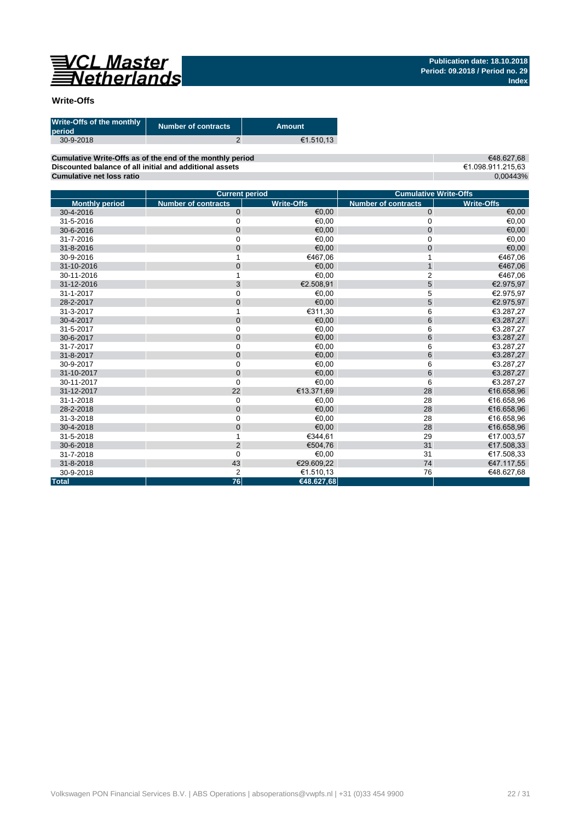

### **Write-Offs**

| Write-Offs of the monthly<br>period | <b>Number of contracts</b> | Amount    |
|-------------------------------------|----------------------------|-----------|
| 30-9-2018                           |                            | €1.510.13 |
|                                     |                            |           |

**Cumulative Write-Offs as of the end of the monthly period Discounted balance of all initial and additional assets Cumulative net loss ratio**

€48.627,68 €1.098.911.215,63 0,00443%

|                       | <b>Current period</b>      |                   | <b>Cumulative Write-Offs</b> |                   |
|-----------------------|----------------------------|-------------------|------------------------------|-------------------|
| <b>Monthly period</b> | <b>Number of contracts</b> | <b>Write-Offs</b> | <b>Number of contracts</b>   | <b>Write-Offs</b> |
| 30-4-2016             | $\mathbf 0$                | €0,00             | $\mathbf 0$                  | €0,00             |
| 31-5-2016             | 0                          | €0,00             | 0                            | €0,00             |
| 30-6-2016             | $\overline{0}$             | €0.00             | $\mathbf 0$                  | €0,00             |
| 31-7-2016             | 0                          | €0.00             | 0                            | €0,00             |
| 31-8-2016             | $\mathbf 0$                | €0.00             | $\mathbf 0$                  | €0,00             |
| 30-9-2016             | 1                          | €467,06           |                              | €467,06           |
| 31-10-2016            | $\mathbf 0$                | €0,00             | $\mathbf{1}$                 | €467,06           |
| 30-11-2016            | 1                          | €0.00             | $\overline{2}$               | €467,06           |
| 31-12-2016            | 3                          | €2.508,91         | 5                            | €2.975,97         |
| 31-1-2017             | $\mathbf 0$                | €0,00             | 5                            | €2.975,97         |
| 28-2-2017             | $\mathbf 0$                | €0.00             | 5                            | €2.975,97         |
| 31-3-2017             | 1                          | €311,30           | 6                            | €3.287,27         |
| 30-4-2017             | $\mathbf 0$                | €0,00             | 6                            | €3.287,27         |
| 31-5-2017             | $\mathbf 0$                | €0.00             | 6                            | €3.287,27         |
| 30-6-2017             | $\mathbf 0$                | €0,00             | 6                            | €3.287,27         |
| 31-7-2017             | $\mathbf 0$                | €0.00             | 6                            | €3.287,27         |
| 31-8-2017             | $\mathbf 0$                | €0,00             | 6                            | €3.287,27         |
| 30-9-2017             | $\mathbf 0$                | €0,00             | 6                            | €3.287,27         |
| 31-10-2017            | $\overline{0}$             | €0,00             | 6                            | €3.287,27         |
| 30-11-2017            | $\mathbf 0$                | €0,00             | 6                            | €3.287,27         |
| 31-12-2017            | 22                         | €13.371.69        | 28                           | €16.658,96        |
| 31-1-2018             | 0                          | €0,00             | 28                           | €16.658,96        |
| 28-2-2018             | $\overline{0}$             | €0.00             | 28                           | €16.658,96        |
| 31-3-2018             | $\mathbf 0$                | €0,00             | 28                           | €16.658,96        |
| 30-4-2018             | $\mathbf 0$                | €0.00             | 28                           | €16.658,96        |
| 31-5-2018             |                            | €344.61           | 29                           | €17.003,57        |
| 30-6-2018             | $\overline{2}$             | €504,76           | 31                           | €17.508,33        |
| 31-7-2018             | $\Omega$                   | €0,00             | 31                           | €17.508,33        |
| 31-8-2018             | 43                         | €29.609,22        | 74                           | €47.117,55        |
| 30-9-2018             | $\overline{2}$             | €1.510,13         | 76                           | €48.627,68        |
| <b>Total</b>          | 76                         | €48.627,68        |                              |                   |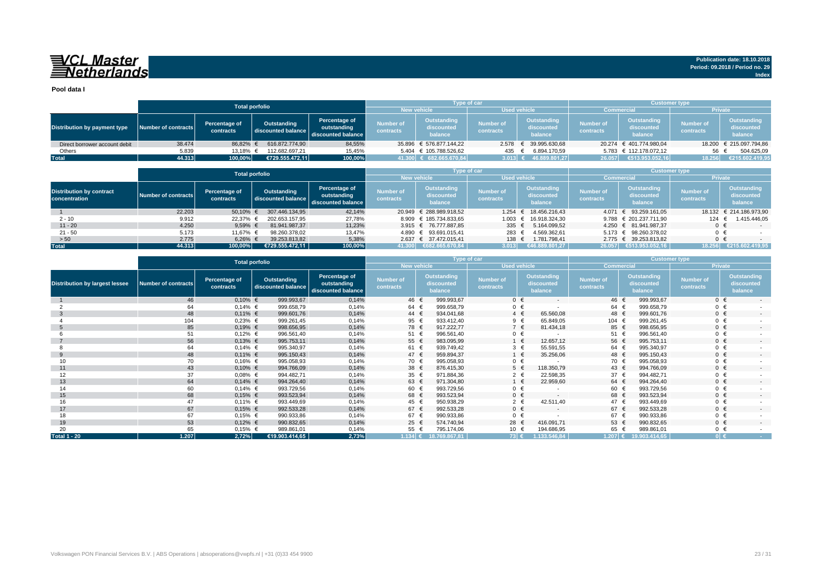## VCL Master<br>ENetherlands

**Pool data I**

|                               |                     |                            |                                   |                                                    |                               | <b>Type of car</b>                   |                                      |                                      | <b>Customer type</b>          |                                             |                               |                                             |                   |  |                |  |
|-------------------------------|---------------------|----------------------------|-----------------------------------|----------------------------------------------------|-------------------------------|--------------------------------------|--------------------------------------|--------------------------------------|-------------------------------|---------------------------------------------|-------------------------------|---------------------------------------------|-------------------|--|----------------|--|
|                               |                     |                            |                                   |                                                    |                               |                                      | <b>Total porfolio</b><br>New vehicle |                                      |                               |                                             | <b>Used vehicle</b>           |                                             | <b>Commercial</b> |  | <b>Private</b> |  |
| Distribution by payment type  | Number of contracts | Percentage of<br>contracts | Outstanding<br>discounted balance | Percentage of<br>outstanding<br>discounted balance | <b>Number of</b><br>contracts | Outstanding<br>discounted<br>balance | Number of<br>contracts               | Outstanding<br>discounted<br>balance | <b>Number of</b><br>contracts | <b>Outstanding</b><br>discounted<br>balance | <b>Number of</b><br>contracts | <b>Outstanding</b><br>discounted<br>balance |                   |  |                |  |
| Direct borrower account debit | 38.474              | 86.82% €                   | 616.872.774.90                    | 84,55%                                             | 35.896                        | € 576.877.144.22                     |                                      | 2.578 € 39.995.630,68                |                               | 20.274 € 401.774.980.04                     |                               | 18.200 € 215.097.794,86                     |                   |  |                |  |
| Others                        | 5.839               | 13.18% €                   | 112.682.697.21                    | 15,45%                                             |                               | 5.404 € 105.788.526,62               | 435                                  | 6.894.170,59                         |                               | 5.783 € 112.178.072.12                      | 56                            | 504.625,09                                  |                   |  |                |  |
| <b>Total</b>                  | 44.313              | 100,00%                    | €729.555.472.11                   | 100,00%                                            |                               | 41.300 € 682.665.670,84              | $3.013$ $\leftrightarrow$            | 46.889.801.27                        | 26.057                        | €513.953.052.16                             | 18.256                        | €215.602.419,95                             |                   |  |                |  |

|                                                  |                     |                            | <b>Total porfolio</b>             |                                                    |                               |                                      | <b>Type of car</b>            |                                      | <b>Customer type</b>          |                                      |                               |                                      |
|--------------------------------------------------|---------------------|----------------------------|-----------------------------------|----------------------------------------------------|-------------------------------|--------------------------------------|-------------------------------|--------------------------------------|-------------------------------|--------------------------------------|-------------------------------|--------------------------------------|
|                                                  |                     |                            |                                   |                                                    |                               | <b>New vehicle</b>                   |                               | <b>Used vehicle</b>                  |                               | <b>Commercial</b>                    | <b>Private</b>                |                                      |
| <b>Distribution by contract</b><br>concentration | Number of contracts | Percentage of<br>contracts | Outstanding<br>discounted balance | Percentage of<br>outstanding<br>discounted balance | <b>Number of</b><br>contracts | Outstanding<br>discounted<br>balance | <b>Number of</b><br>contracts | Outstanding<br>discounted<br>balance | <b>Number of</b><br>contracts | Outstanding<br>discounted<br>balance | <b>Number of</b><br>contracts | Outstanding<br>discounted<br>balance |
|                                                  | 22.203              | 50,10%                     | 307.446.134.95                    | 42,14%                                             |                               | 20.949 € 288.989.918,52              | 1.254                         | € 18.456.216.43                      | 4.071                         | € 93.259.161,05                      |                               | 18.132 € 214.186.973,90              |
| $2 - 10$                                         | 9.912               | 22.37%                     | 202.653.157.95                    | 27,78%                                             |                               | 8.909 € 185.734.833.65               | $1.003$ €                     | 16.918.324.30                        |                               | 9.788 € 201.237.711.90               | 124                           | 1.415.446.05                         |
| $11 - 20$                                        | 4.250               | 9,59% $\in$                | 81.941.987.37                     | 11,23%                                             |                               | 3.915 € 76.777.887.85                | 335 $\epsilon$                | 5.164.099.52                         |                               | 4.250 € 81.941.987.37                | $0 \in$                       | $\sim$                               |
| $21 - 50$                                        | 5.173               | 11.67% €                   | 98.260.378.02                     | 13,47%                                             |                               | 4.890 € 93.691.015.41                | 283 €                         | 4.569.362.61                         |                               | 5.173 € 98.260.378.02                | $0 \in$                       |                                      |
| > 50                                             | 2.775               | 6,26%                      | 39.253.813.82                     | 5,38%                                              |                               | 2.637 € 37.472.015,41                | 138 €                         | 1.781.798.41                         |                               | 2.775 € 39.253.813,82                | $0 \in$                       |                                      |
| <b>Total</b>                                     | 44.313              | $100.00\%$                 | €729.555.472.11                   | 100,00%                                            | 41.300                        | €682.665.670.84                      | 3.013                         | 646.889.801,27                       | 26.057                        | €513.953.052.16                      | 18.256                        | €215.602.419.95                      |

|                                       |                            | <b>Total porfolio</b>      |                                   |                                                    |                               |                                             | <b>Type of car</b>            |                                             | <b>Customer type</b>          |                                             |                               |                                             |
|---------------------------------------|----------------------------|----------------------------|-----------------------------------|----------------------------------------------------|-------------------------------|---------------------------------------------|-------------------------------|---------------------------------------------|-------------------------------|---------------------------------------------|-------------------------------|---------------------------------------------|
|                                       |                            |                            |                                   |                                                    | <b>New vehicle</b>            |                                             | <b>Used vehicle</b>           |                                             | <b>Commercial</b>             |                                             | Private                       |                                             |
| <b>Distribution by largest lessee</b> | <b>Number of contracts</b> | Percentage of<br>contracts | Outstanding<br>discounted balance | Percentage of<br>outstanding<br>discounted balance | <b>Number of</b><br>contracts | <b>Outstanding</b><br>discounted<br>balance | <b>Number of</b><br>contracts | <b>Outstanding</b><br>discounted<br>balance | <b>Number of</b><br>contracts | <b>Outstanding</b><br>discounted<br>balance | <b>Number of</b><br>contracts | <b>Outstanding</b><br>discounted<br>balance |
|                                       | 46                         | $0,10%$ €                  | 999.993,67                        | 0,14%                                              | 46 €                          | 999.993,67                                  | $0 \in$                       | $\sim$                                      | 46 €                          | 999.993,67                                  | $0 \in$                       | $\sim$                                      |
|                                       | 64                         | $0,14%$ €                  | 999.658,79                        | 0,14%                                              | 64 €                          | 999.658,79                                  | $0 \in$                       |                                             | 64 €                          | 999.658,79                                  | $0 \in$                       |                                             |
| -3                                    | 48                         | $0,11\%$ €                 | 999.601,76                        | 0,14%                                              | 44 €                          | 934.041,68                                  | $4 \in$                       | 65.560,08                                   | 48 €                          | 999.601,76                                  | $0 \in$                       | $\overline{\phantom{a}}$                    |
|                                       | 104                        | $0,23%$ €                  | 999.261,45                        | 0,14%                                              | 95 €                          | 933.412,40                                  | $9 \in$                       | 65.849,05                                   | 104 €                         | 999.261,45                                  | $0 \in$                       |                                             |
|                                       | 85                         | $0,19%$ €                  | 998.656,95                        | 0,14%                                              | 78 €                          | 917.222,77                                  | $7 \in$                       | 81.434,18                                   | 85 €                          | 998.656,95                                  | $0 \in$                       |                                             |
|                                       | 51                         | $0,12%$ €                  | 996.561,40                        | 0,14%                                              | 51 €                          | 996.561,40                                  | $0 \in$                       |                                             | 51 €                          | 996.561,40                                  | $0 \in$                       |                                             |
|                                       | 56                         | $0,13%$ €                  | 995.753,11                        | 0,14%                                              | 55 €                          | 983.095,99                                  | 1 €                           | 12.657,12                                   | 56 €                          | 995.753,11                                  | $0 \in$                       | $\overline{a}$                              |
|                                       | 64                         | $0,14%$ €                  | 995.340,97                        | 0,14%                                              | 61 €                          | 939.749,42                                  | $3 \in$                       | 55.591,55                                   | 64 €                          | 995.340,97                                  | $0 \in$                       |                                             |
| 9                                     | 48                         | $0,11\%$ €                 | 995.150,43                        | 0,14%                                              | 47 $\in$                      | 959.894,37                                  | $1 \in$                       | 35.256,06                                   | 48 €                          | 995.150,43                                  | $0 \in$                       | $\overline{\phantom{a}}$                    |
| 10                                    | 70                         | $0,16%$ €                  | 995.058,93                        | 0,14%                                              | 70 €                          | 995.058,93                                  | $0 \in$                       |                                             | 70 €                          | 995.058,93                                  | $0 \in$                       |                                             |
| 11                                    | 43                         | $0,10%$ €                  | 994.766,09                        | 0,14%                                              | 38 €                          | 876.415,30                                  | $5 \in$                       | 118.350,79                                  | 43 $\epsilon$                 | 994.766.09                                  | $0 \in$                       | $\overline{\phantom{a}}$                    |
| 12                                    | 37                         | $0.08%$ €                  | 994.482,71                        | 0,14%                                              | 35 $\epsilon$                 | 971.884,36                                  | $2 \in$                       | 22.598,35                                   | 37 $\epsilon$                 | 994.482.71                                  | $0 \in$                       |                                             |
| 13                                    | 64                         | $0,14%$ €                  | 994.264,40                        | 0,14%                                              | 63 $\epsilon$                 | 971.304,80                                  | $1 \in$                       | 22.959,60                                   | 64 $\in$                      | 994.264,40                                  | $0 \in$                       |                                             |
| 14                                    | 60                         | $0,14%$ €                  | 993.729,56                        | 0,14%                                              | 60                            | 993.729,56                                  | $0 \in$                       |                                             | 60 €                          | 993.729,56                                  | $0 \in$                       |                                             |
| 15                                    | 68                         | $0,15%$ €                  | 993.523,94                        | 0,14%                                              | 68 €                          | 993.523,94                                  | $0 \in$                       | $\overline{a}$                              | 68 €                          | 993.523,94                                  | $0 \in$                       |                                             |
| 16                                    | 47                         | $0,11\%$ €                 | 993.449,69                        | 0,14%                                              | 45 €                          | 950.938,29                                  | $2 \in$                       | 42.511,40                                   | 47 €                          | 993.449,69                                  | $0 \in$                       |                                             |
| 17                                    | 67                         | $0,15%$ €                  | 992.533,28                        | 0,14%                                              | 67 $\epsilon$                 | 992.533,28                                  | $0 \in$                       | $\overline{a}$                              | 67 €                          | 992.533,28                                  | $0 \in$                       | $\overline{\phantom{a}}$                    |
| 18                                    | 67                         | $0,15%$ €                  | 990.933,86                        | 0,14%                                              | 67 €                          | 990.933,86                                  | $0 \in$                       |                                             | 67 €                          | 990.933,86                                  | $0 \in$                       |                                             |
| 19                                    | 53                         | $0,12%$ €                  | 990.832,65                        | 0,14%                                              | 25 $\epsilon$                 | 574.740,94                                  | 28 €                          | 416.091,71                                  | 53 €                          | 990.832,65                                  | $0 \in$                       | $\overline{\phantom{a}}$                    |
| 20                                    | 65                         | $0,15%$ €                  | 989.861,01                        | 0,14%                                              | 55                            | 795.174,06                                  | 10 €                          | 194.686,95                                  | 65                            | 989.861,01                                  | $0 \in$                       |                                             |
| <b>Total 1 - 20</b>                   | 1.207                      | 2,72%                      | €19.903.414,65                    | 2,73%                                              | $1.134$ €                     | 18.769.867,81                               | $73 \in$                      | 1.133.546,84                                | 1.207 €                       | 19.903.414,65                               | $0 \in$                       | <b>Contract</b>                             |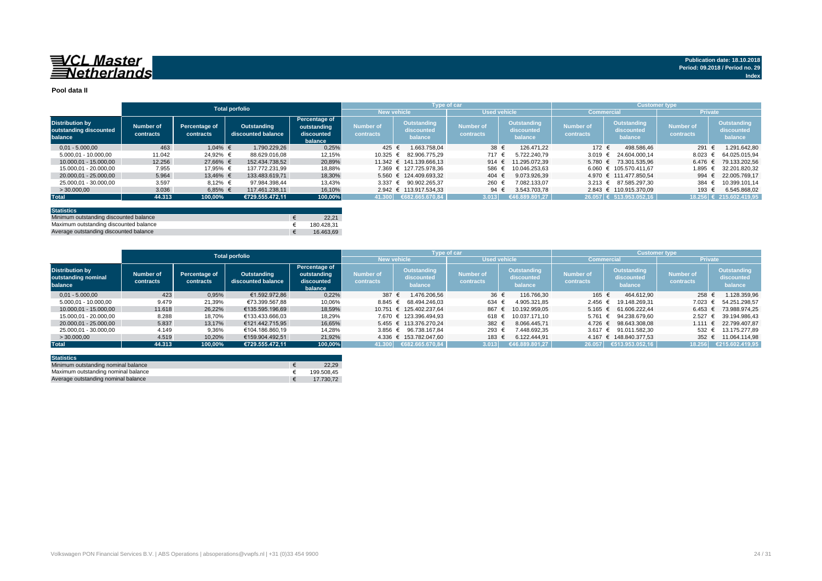# 

#### **Pool data II**

|                                                             |                        |                            | <b>Total porfolio</b>             |                                                       |                               |                                             | Type of car                   |                                      | <b>Customer type</b>          |                                             |                               |                                      |
|-------------------------------------------------------------|------------------------|----------------------------|-----------------------------------|-------------------------------------------------------|-------------------------------|---------------------------------------------|-------------------------------|--------------------------------------|-------------------------------|---------------------------------------------|-------------------------------|--------------------------------------|
|                                                             |                        |                            |                                   |                                                       | <b>New vehicle</b>            |                                             | <b>Used vehicle</b>           |                                      | <b>Commercial</b>             |                                             | <b>Private</b>                |                                      |
| <b>Distribution by</b><br>outstanding discounted<br>balance | Number of<br>contracts | Percentage of<br>contracts | Outstanding<br>discounted balance | Percentage of<br>outstanding<br>discounted<br>balance | <b>Number of</b><br>contracts | <b>Outstanding</b><br>discounted<br>balance | <b>Number of</b><br>contracts | Outstanding<br>discounted<br>balance | <b>Number of</b><br>contracts | <b>Outstanding</b><br>discounted<br>balance | <b>Number of</b><br>contracts | Outstanding<br>discounted<br>balance |
| $0.01 - 5.000.00$                                           | 463                    | $1.04\%$ €                 | 1.790.229.26                      | 0,25%                                                 | 425                           | 1.663.758.04                                | 38 $\epsilon$                 | 126.471.22                           | 172 €                         | 498.586.46                                  | 291                           | 1.291.642.80                         |
| 5.000.01 - 10.000.00                                        | 11.042                 | 24,92% €                   | 88.629.016.08                     | 12,15%                                                | $10.325 \in$                  | 82.906.775.29                               | 717                           | 5.722.240.79                         | 3.019 $\in$                   | 24.604.000.14                               | 8.023                         | 64.025.015.94                        |
| 10.000.01 - 15.000.00                                       | 12.256                 | 27,66% €                   | 152.434.738.52                    | 20,89%                                                |                               | 11.342 € 141.139.666.13                     | 914 $\epsilon$                | 11.295.072.39                        |                               | 5.780 € 73.301.535.96                       | 6.476                         | 79.133.202.56                        |
| 15.000.01 - 20.000.00                                       | 7.955                  | 17.95% €                   | 137.772.231.99                    | 18,88%                                                |                               | 7.369 € 127.725.978.36                      | 586                           | 10.046.253.63                        |                               | 6.060 € 105.570.411.67                      | 1.895                         | 32.201.820.32                        |
| 20.000.01 - 25.000.00                                       | 5.964                  | 13.46% €                   | 133.483.619.71                    | 18,30%                                                |                               | 5.560 € 124.409.693.32                      | 404 €                         | 9.073.926.39                         |                               | 4.970 € 111.477.850.54                      | 994                           | 22.005.769.17                        |
| 25.000.01 - 30.000.00                                       | 3.597                  | $8.12\%$ €                 | 97.984.398.44                     | 13.43%                                                |                               | 3.337 € 90.902.265.37                       | 260                           | 7.082.133.07                         |                               | 3.213 € 87.585.297.30                       | 384                           | 10.399.101.14                        |
| >30.000,00                                                  | 3.036                  | $6,85%$ €                  | 117.461.238.11                    | 16,10%                                                |                               | 2.942 € 113.917.534.33                      | 94 $\epsilon$                 | 3.543.703.78                         |                               | 2.843 € 110.915.370.09                      | 193                           | 6.545.868,02                         |
| <b>Total</b>                                                | 44.313                 | 100,00%                    | €729.555.472.11                   | 100,00%                                               | 41.300                        | €682.665.670.84                             | 3.013                         | €46.889.801.27                       |                               | 26.057 € 513.953.052.16                     |                               | $-18.256$ € 215.602.419.95           |
|                                                             |                        |                            |                                   |                                                       |                               |                                             |                               |                                      |                               |                                             |                               |                                      |

| <b>Statistics</b>                      |   |            |
|----------------------------------------|---|------------|
| Minimum outstanding discounted balance |   | 22.21      |
| Maximum outstanding discounted balance |   | 180.428.31 |
| Average outstanding discounted balance | € | 16.463.69  |

|                                                          | <b>Total porfolio</b>         |                            |                                   |                                                              |                        | <b>Type of car</b>                   |                               |                                      | <b>Customer type</b>                 |                                      |                               |                                      |
|----------------------------------------------------------|-------------------------------|----------------------------|-----------------------------------|--------------------------------------------------------------|------------------------|--------------------------------------|-------------------------------|--------------------------------------|--------------------------------------|--------------------------------------|-------------------------------|--------------------------------------|
|                                                          |                               |                            |                                   |                                                              | <b>New vehicle</b>     |                                      | <b>Used vehicle</b>           |                                      | <b>Commercial</b>                    |                                      | <b>Private</b>                |                                      |
| <b>Distribution by</b><br>outstanding nominal<br>balance | <b>Number of</b><br>contracts | Percentage of<br>contracts | Outstanding<br>discounted balance | <b>Percentage of</b><br>outstanding<br>discounted<br>balance | Number of<br>contracts | Outstanding<br>discounted<br>balance | <b>Number of</b><br>contracts | Outstanding<br>discounted<br>balance | <b>Number of</b><br><b>contracts</b> | Outstanding<br>discounted<br>balance | <b>Number of</b><br>contracts | Outstanding<br>discounted<br>balance |
| $0.01 - 5.000.00$                                        | 423                           | 0.95%                      | €1.592.972.86                     | 0.22%                                                        | 387 €                  | 1.476.206.56                         | $36 \epsilon$                 | 116.766.30                           | 165 €                                | 464.612.90                           | 258                           | 1.128.359,96                         |
| 5.000,01 - 10.000,00                                     | 9.479                         | 21,39%                     | €73.399.567.88                    | 10.06%                                                       | $8.845 \in$            | 68.494.246.03                        | 634 €                         | 4.905.321.85                         | $2.456 \in$                          | 19.148.269.31                        | 7.023 $∈$                     | 54.251.298.57                        |
| 10.000.01 - 15.000.00                                    | 11.618                        | 26,22%                     | €135.595.196.69                   | 18,59%                                                       |                        | 10.751 € 125.402.237.64              | 867                           | 10.192.959.05                        | $5.165 \in$                          | 61.606.222.44                        | 6.453 €                       | 73.988.974,25                        |
| 15.000.01 - 20.000.00                                    | 8.288                         | 18.70%                     | €133.433.666.03                   | 18.29%                                                       |                        | 7.670 € 123.396.494.93               | 618                           | 10.037.171.10                        | 5.761 €                              | 94.238.679.60                        | 2.527                         | 39.194.986,43                        |
| 20.000.01 - 25.000.00                                    | 5.837                         | 13,17%                     | €121.442.715.95                   | 16.65%                                                       |                        | 5.455 € 113.376.270.24               | 382 €                         | 8.066.445.71                         |                                      | 4.726 € 98.643.308.08                | 1.111 €                       | 22.799.407.87                        |
| 25.000.01 - 30.000.00                                    | 4.149                         | 9,36%                      | €104.186.860,19                   | 14,28%                                                       |                        | 3.856 € 96.738.167.84                | 293 €                         | 7.448.692.35                         |                                      | 3.617 € 91.011.582,30                | 532 $\epsilon$                | 13.175.277,89                        |
| > 30.000.00                                              | 4.519                         | 10.20%                     | €159.904.492.51                   | 21.92%                                                       |                        | 4.336 € 153.782.047.60               | 183                           | 6.122.444.91                         |                                      | 4.167 € 148.840.377.53               | 352 $\epsilon$                | 11.064.114.98                        |
| <b>Total</b>                                             | 44.313                        | 100.00%                    | €729.555.472.11                   | 100.00%                                                      | 41.300                 | €682.665.670,84                      | 3.013                         | €46.889.801,27                       | 26.057                               | €513.953.052.16                      | 18.256                        | €215.602.419,95                      |

| <b>Statistics</b>                   |            |
|-------------------------------------|------------|
| Minimum outstanding nominal balance | 22.29      |
| Maximum outstanding nominal balance | 199.508.45 |
| Average outstanding nominal balance | 17.730.72  |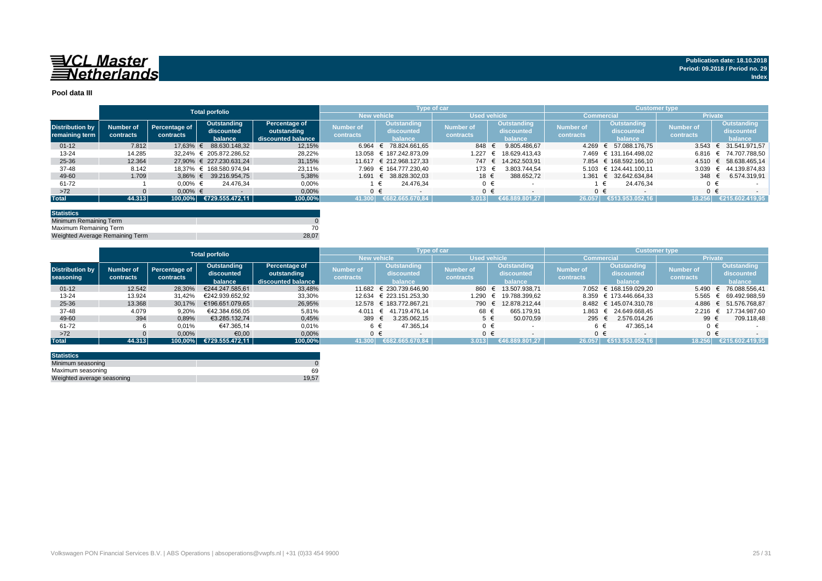

#### **Pool data III**

|                                          |                        |                            | <b>Total porfolio</b>                |                                                    |                                      | Type of car                          |                               |                                             |                               |                                      | <b>Customer type</b>          |                                      |
|------------------------------------------|------------------------|----------------------------|--------------------------------------|----------------------------------------------------|--------------------------------------|--------------------------------------|-------------------------------|---------------------------------------------|-------------------------------|--------------------------------------|-------------------------------|--------------------------------------|
|                                          |                        |                            |                                      |                                                    | <b>New vehicle</b>                   |                                      | <b>Used vehicle</b>           |                                             | <b>Commercial</b>             |                                      | <b>Private</b>                |                                      |
| <b>Distribution by</b><br>remaining term | Number of<br>contracts | Percentage of<br>contracts | Outstanding<br>discounted<br>balance | Percentage of<br>outstanding<br>discounted balance | <b>Number of</b><br><b>contracts</b> | Outstanding<br>discounted<br>balance | <b>Number of</b><br>contracts | <b>Outstanding</b><br>discounted<br>balance | <b>Number of</b><br>contracts | Outstanding<br>discounted<br>balance | <b>Number of</b><br>contracts | Outstanding<br>discounted<br>balance |
| $01 - 12$                                | 7.812                  | 17.63% €                   | 88.630.148.32                        | 12,15%                                             | 6.964                                | 78.824.661.65<br>$\epsilon$          | 848                           | 9.805.486.67                                | 4.269                         | 57.088.176.75                        | 3.543 $\epsilon$              | 31.541.971,57                        |
| $13 - 24$                                | 14.285                 |                            | 32.24% € 205.872.286.52              | 28,22%                                             |                                      | 13.058 € 187.242.873.09              | 1.227                         | 18.629.413.43<br>€                          |                               | 7.469 € 131.164.498.02               |                               | 6.816 € 74.707.788.50                |
| 25-36                                    | 12.364                 |                            | 27.90% € 227.230.631.24              | 31,15%                                             | 11.617                               | € 212.968.127.33                     |                               | 747 € 14.262.503.91                         |                               | 7.854 € 168.592.166.10               | 4.510 $€$                     | 58.638.465.14                        |
| 37-48                                    | 8.142                  |                            | 18.37% € 168.580.974.94              | 23.11%                                             |                                      | 7.969 € 164.777.230.40               | 173                           | 3.803.744.54<br>$\epsilon$                  |                               | $5.103 \text{ } \in 124.441.100,11$  | 3.039 $\in$                   | 44.139.874.83                        |
| 49-60                                    | 1.709                  | 3.86% $\in$                | 39.216.954.75                        | 5.38%                                              |                                      | 1.691 € 38.828.302.03                | 18 €                          | 388.652.72                                  | 1.361                         | 32.642.634.84                        | 348 $\epsilon$                | 6.574.319.91                         |
| 61-72                                    |                        | $0.00\%$ €                 | 24.476.34                            | 0,00%                                              |                                      | 24.476.34                            | $0 \in$                       |                                             |                               | 24.476.34                            |                               |                                      |
| $>72$                                    |                        | $0.00\%$ €                 |                                      | 0,00%                                              |                                      | $0 \in$                              | $0 \in$                       | $\overline{\phantom{a}}$                    |                               | $0 \in$                              |                               | $0 \in$                              |
| <b>Total</b>                             | 44.313                 | 100,00%                    | €729.555.472.11                      | 100,00%                                            | 41.300                               | 6682.665.670.84                      | 3.013                         | €46.889.801.27                              | 26.057                        | €513.953.052.16                      | 18.256                        | €215.602.419,95                      |

| <b>Statistics</b>               |       |
|---------------------------------|-------|
| Minimum Remaining Term          |       |
| Maximum Remaining Term          |       |
| Weighted Average Remaining Term | 28.07 |

|                        |           |               | <b>Total porfolio</b> |                    | Type of car    |                           |              | 'Customer type , |                  |                        |                  |                       |
|------------------------|-----------|---------------|-----------------------|--------------------|----------------|---------------------------|--------------|------------------|------------------|------------------------|------------------|-----------------------|
|                        |           |               |                       |                    |                | <b>New vehicle</b>        | Used vehicle |                  | Commercial       |                        | <b>Private</b>   |                       |
|                        |           |               | Outstanding           | Percentage of      |                | Outstanding               |              | Outstanding      | <b>Number of</b> | Outstanding            | <b>Number of</b> | Outstanding           |
| <b>Distribution by</b> | Number of | Percentage of | discounted            | outstanding        | Number of      | discounted                | Number of    | discounted       |                  | discounted             |                  | discounted            |
| seasoning              | contracts | contracts     | balance               | discounted balance | contracts      | balance                   | contracts    | balance          | contracts        | balance                | contracts        | balance               |
| $01 - 12$              | 12.542    | 28,30%        | €244.247.585.61       | 33,48%             |                | 11.682 € 230.739.646.90   | 860 €        | 13.507.938.71    |                  | 7.052 € 168.159.029.20 | 5.490            | € 76.088.556.41       |
| $13 - 24$              | 13.924    | 31.42%        | €242.939.652.92       | 33,30%             |                | 12.634 € 223.151.253.30   | 1.290        | 19.788.399.62    |                  | 8.359 € 173.446.664.33 |                  | 5.565 € 69.492.988.59 |
| $25 - 36$              | 13.368    | 30.17%        | €196.651.079.65       | 26,95%             |                | 12.578 € 183.772.867.21   | 790 €        | 12.878.212.44    |                  | 8.482 € 145.074.310.78 |                  | 4.886 € 51.576.768.87 |
| 37-48                  | 4.079     | 9,20%         | €42.384.656.05        | 5,81%              |                | 4.011 $\in$ 41.719.476.14 | 68 €         | 665.179.91       | 1.863            | 24.649.668.45          |                  | 2.216 € 17.734.987.60 |
| 49-60                  | 394       | 0,89%         | €3.285.132.74         | 0,45%              | 389 $\epsilon$ | 3.235.062.15              | $5 \in$      | 50.070,59        | 295 $\in$        | 2.576.014.26           | 99 €             | 709.118,48            |
| 61-72                  |           | 0,01%         | €47.365,14            | 0,01%              | 6 €            | 47.365.14                 | $0 \in$      |                  |                  | 47.365.14              | 0 €              |                       |
| $>72$                  |           | 0,00%         | €0,00                 | 0,00%              |                | $0 \in$                   | 0 €          |                  |                  |                        | $0 \in$          |                       |
| <b>Total</b>           | 44.313    | 100.00%       | \$729.555.472.11      | 100,00%            | 41.300         | €682.665.670.84           | 3.013        | €46.889.801.27   | 26.057           | €513.953.052.16        | 18.256           | €215.602.419.95       |

| <b>Statistics</b>          |       |
|----------------------------|-------|
| Minimum seasoning          |       |
| Maximum seasoning          | 69    |
| Weighted average seasoning | 19,57 |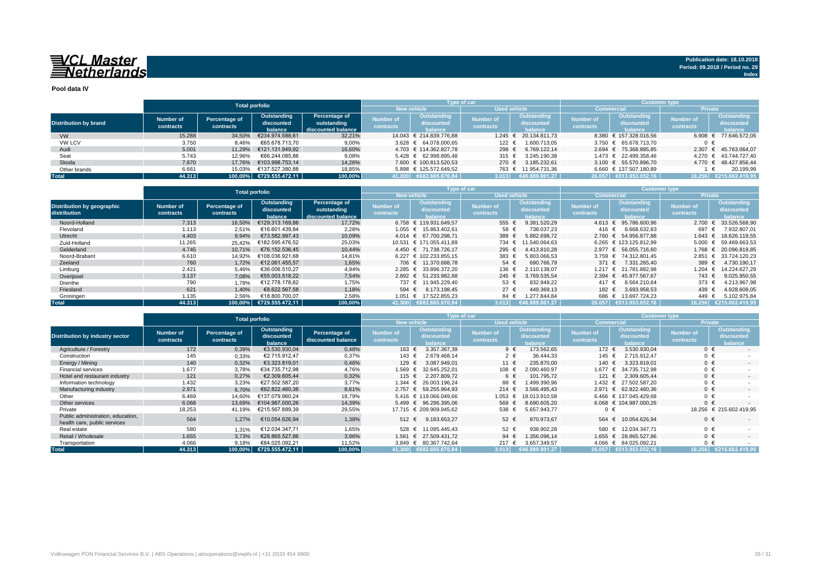## 

**Pool data IV**

|                              |           |               | <b>Total porfolio</b>   |                    |                  | <b>Type of car</b>                 |                  |                     | <b>Customer type</b> |                        |                  |                       |  |  |  |  |
|------------------------------|-----------|---------------|-------------------------|--------------------|------------------|------------------------------------|------------------|---------------------|----------------------|------------------------|------------------|-----------------------|--|--|--|--|
|                              |           |               |                         |                    |                  | <b>New vehicle</b>                 |                  | <b>Used vehicle</b> |                      | <b>Commercial</b>      | <b>Private</b>   |                       |  |  |  |  |
|                              | Number of | Percentage of | Outstanding             | Percentage of      | <b>Number of</b> | Outstanding                        | <b>Number of</b> | Outstanding         | <b>Number of</b>     | Outstanding            | <b>Number of</b> | Outstanding           |  |  |  |  |
| <b>Distribution by brand</b> |           |               | discounted              | outstanding        |                  | discounted                         | contracts        | discounted          |                      | discounted             |                  | discounted            |  |  |  |  |
|                              | contracts | contracts     | halance                 | discounted balance | contracts        | halance                            |                  | halance             | contracts            | alance                 | contracts        | balance               |  |  |  |  |
| <b>VW</b>                    | 15.288    | 34.50%        | €234.974.588.61         | 32,21%             |                  | 14.043 € 214.839.776.88            | $1.245 \in$      | 20.134.811.73       |                      | 8.380 € 157.328.016.56 |                  | 6.908 € 77.646.572,05 |  |  |  |  |
| <b>VW LCV</b>                | 3.750     | 8,46%         | €65.678.713.70          | 9,00%              |                  | 3.628 € 64.078.000.65              | 122 €            | 1.600.713.05        |                      | 3.750 € 65.678.713,70  | 0 €              |                       |  |  |  |  |
| Audi                         | 5.001     | 11.29%        | €121.131.949.92         | 16,60%             |                  | 4.703 € 114.362.827.78             | 298 €            | 6.769.122.14        |                      | 2.694 € 75.368.885.85  |                  | 2.307 € 45.763.064.07 |  |  |  |  |
| Seat                         | 5.743     | 12.96%        | €66.244.085.86          | 9,08%              |                  | $5.428 \text{ } \in 62.998.895.48$ | 315 €            | 3.245.190.38        |                      | 1.473 € 22.499.358.46  |                  | 4.270 € 43.744.727,40 |  |  |  |  |
| Skoda                        | 7.870     | 17.76%        | €103.998.753.14         | 14.26%             |                  | 7.600 € 100.813.520,53             | 270 €            | 3.185.232.61        |                      | 3.100 € 55.570.896.70  |                  | 4.770 € 48.427.856.44 |  |  |  |  |
| Other brands                 | 6.661     | 15.03%        | €137.527.380.88         | 18.85%             |                  | 5.898 € 125.572.649.52             |                  | 763 € 11.954.731.36 |                      | 6.660 € 137.507.180.89 |                  | 20.199.99             |  |  |  |  |
| <b>Total</b>                 | 44.313    |               | 100,00% €729.555.472,11 | 100,00%            |                  | 41.300 €682.665.670,84             | 3.013            | 1€46.889.801.27     |                      | 26.057 €513.953.052.16 | 18.256           | €215.602.419,95       |  |  |  |  |

|                                                   |                        |                                                                                                    | <b>Total porfolio</b> |                    |                               | <b>Type of car</b>                          |                               |                                                    | <b>Customer type</b>          |                                      |                               |                                             |  |  |  |
|---------------------------------------------------|------------------------|----------------------------------------------------------------------------------------------------|-----------------------|--------------------|-------------------------------|---------------------------------------------|-------------------------------|----------------------------------------------------|-------------------------------|--------------------------------------|-------------------------------|---------------------------------------------|--|--|--|
|                                                   |                        |                                                                                                    |                       |                    |                               | <b>New vehicle</b>                          | <b>Used vehicle</b>           |                                                    |                               | Commercia                            | <b>Private</b>                |                                             |  |  |  |
| <b>Distribution by geographic</b><br>distribution | Number of<br>contracts | Percentage of<br>Outstanding<br>Percentage of<br>outstanding<br>discounted<br>contracts<br>balance |                       | discounted balance | <b>Number of</b><br>contracts | <b>Outstanding</b><br>discounted<br>balance | <b>Number of</b><br>contracts | <b>Outstanding</b><br>discounted<br><b>balance</b> | <b>Number of</b><br>contracts | Outstanding<br>discounted<br>balance | <b>Number of</b><br>contracts | <b>Outstanding</b><br>discounted<br>balance |  |  |  |
| Noord-Holland                                     | 7.313                  | 16.50%                                                                                             | €129.313.169.86       | 17,72%             |                               | 6.758 € 119.931.649.57                      | 555 €                         | 9.381.520.29                                       | $4.613 \in$                   | 95.786.600.96                        | 2.700                         | 33.526.568,90                               |  |  |  |
| Flevoland                                         | 1.113                  | 2.51%                                                                                              | €16.601.439,84        | 2,28%              |                               | 1.055 € 15.863.402.61                       | 58 €                          | 738.037.23                                         | 416 €                         | 8.668.632.83                         | 697 €                         | 7.932.807,01                                |  |  |  |
| Utrecht                                           | 4.403                  | 9,94%                                                                                              | €73.582.997.43        | 10,09%             |                               | 4.014 € 67.700.298.71                       | 389 $\epsilon$                | 5.882.698.72                                       |                               | 2.760 € 54.956.877.88                | $1.643 \in$                   | 18.626.119.55                               |  |  |  |
| Zuid-Holland                                      | 11.265                 | 25.42%                                                                                             | €182.595.476.52       | 25,03%             |                               | 10.531 € 171.055.411.89                     | 734 €                         | 11.540.064.63                                      |                               | 6.265 € 123.125.812.99               | 5.000                         | 59.469.663.53                               |  |  |  |
| Gelderland                                        | 4.745                  | 10.71%                                                                                             | €76.152.536.45        | 10,44%             |                               | 4.450 € 71.738.726.17                       | 295 $\epsilon$                | 4.413.810.28                                       |                               | 2.977 € 56.055.716.60                | 1.768                         | 20.096.819.85<br>÷                          |  |  |  |
| Noord-Brabant                                     | 6.610                  | 14.92%                                                                                             | €108.036.921.68       | 14,81%             |                               | $6.227 \text{ } \in 102.233.855.15$         | 383 €                         | 5.803.066.53                                       |                               | 3.759 € 74.312.801.45                | 2.851                         | 33.724.120.23<br>€                          |  |  |  |
| Zeeland                                           | 760                    | 1.72%                                                                                              | €12.061.455.57        | 1,65%              |                               | 706 € 11.370.688.78                         | $54 \text{ } \in$             | 690.766.79                                         | 371 €                         | 7.331.265.40                         | 389 $\epsilon$                | 4.730.190.17                                |  |  |  |
| Limburg                                           | 2.421                  | 5,46%                                                                                              | €36.006.510.27        | 4,94%              |                               | 2.285 € 33.896.372.20                       | 136 €                         | 2.110.138.07                                       |                               | 1.217 € 21.781.882.98                | 1.204                         | 14.224.627.29<br>$\cdot$ $\epsilon$         |  |  |  |
| Overijssel                                        | 3.137                  | 7,08%                                                                                              | €55,003,518,22        | 7,54%              |                               | 2.892 € 51.233.982.68                       | 245 $\in$                     | 3.769.535.54                                       |                               | 2.394 € 45.977.567.67                | 743 €                         | 9.025.950,55                                |  |  |  |
| Drenthe                                           | 790                    | 1,78%                                                                                              | €12.778.178.62        | 1,75%              |                               | 737 € 11.945.229.40                         | 53 €                          | 832.949.22                                         | 417 €                         | 8.564.210.64                         | $373 \in$                     | 4.213.967,98                                |  |  |  |
| Friesland                                         | 621                    | 1.40%                                                                                              | €8.622.567.58         | 1,18%              | 594 €                         | 8.173.198,45                                | 27 $\in$                      | 449.369.13                                         | 182 €                         | 3.693.958.53                         | 439 €                         | 4.928.609,05                                |  |  |  |
| Groningen                                         | 1.135                  | 2,56%                                                                                              | €18,800,700.07        | 2,58%              |                               | 1.051 € 17.522.855,23                       | 84 €                          | 1.277.844.84                                       | 686 €                         | 13.697.724.23                        | 449                           | 5.102.975,84                                |  |  |  |
| <b>Total</b>                                      | 44.313                 | 100.00%                                                                                            | €729.555.472.11       | 100,00%            |                               | 41.300 €682.665.670.84                      | 3.013                         | €46.889.801.27                                     |                               | 26.057 €513.953.052.16               | 18.256                        | €215.602.419.95                             |  |  |  |

|                                                                   |                               | <b>Total porfolio</b>      |                                      |                                     |                               | Type of car                          |                               |                                             | <b>Customer type</b>          |                                             |                               |                                             |  |  |  |  |
|-------------------------------------------------------------------|-------------------------------|----------------------------|--------------------------------------|-------------------------------------|-------------------------------|--------------------------------------|-------------------------------|---------------------------------------------|-------------------------------|---------------------------------------------|-------------------------------|---------------------------------------------|--|--|--|--|
|                                                                   |                               |                            |                                      |                                     |                               | <b>New vehicle</b>                   | <b>Used vehicle</b>           |                                             | Commercial                    |                                             | <b>Private</b>                |                                             |  |  |  |  |
| <b>Distribution by industry sector</b>                            | <b>Number of</b><br>contracts | Percentage of<br>contracts | Outstanding<br>discounted<br>balance | Percentage of<br>discounted balance | <b>Number of</b><br>contracts | Outstanding<br>discounted<br>balance | <b>Number of</b><br>contracts | <b>Outstanding</b><br>discounted<br>balance | <b>Number of</b><br>contracts | <b>Outstanding</b><br>discounted<br>palance | <b>Number of</b><br>contracts | <b>Outstanding</b><br>discounted<br>balance |  |  |  |  |
| Agriculture / Forestry                                            | 172                           | 0,39%                      | €3.530.930.04                        | 0,48%                               | 163 €                         | 3.357.367.39                         | $9 \in$                       | 173.562.65                                  | $172 \in$                     | 3.530.930.04                                | $0 \in$                       | $\sim$                                      |  |  |  |  |
| Construction                                                      | 145                           | 0,33%                      | €2.715.912.47                        | 0,37%                               | 143 €                         | 2.679.468.14                         | $2 \in$                       | 36.444.33                                   | 145 €                         | 2.715.912.47                                | $0 \in$                       |                                             |  |  |  |  |
| Energy / Mining                                                   | 140                           | 0,32%                      | €3.323.819,01                        | 0,46%                               | 129 €                         | 3.087.949.01                         | 11 €                          | 235.870.00                                  | 140 €                         | 3.323.819.01                                | $0 \in$                       | $\sim$                                      |  |  |  |  |
| <b>Financial services</b>                                         | 1.677                         | 3.78%                      | €34.735.712.98                       | 4,76%                               | 1.569 €                       | 32.645.252.01                        | 108 €                         | 2.090.460.97                                | 1.677 €                       | 34.735.712.98                               | $0 \in$                       |                                             |  |  |  |  |
| Hotel and restaurant industry                                     | 121                           | 0,27%                      | €2.309.605.44                        | 0,32%                               | 115 €                         | 2.207.809.72                         | 6 €                           | 101.795.72                                  | $121$ €                       | 2.309.605.44                                | $0 \in$                       | $\sim$                                      |  |  |  |  |
| Information technology                                            | 1.432                         | 3,23%                      | €27.502.587.20                       | 3,77%                               | 1.344 €                       | 26.003.196.24                        | 88 €                          | .499.390,96                                 | 1.432 $∈$                     | 27.502.587.20                               | $0 \in$                       |                                             |  |  |  |  |
| Manufacturing industry                                            | 2.971                         | 6,70%                      | €62.822.460.36                       | 8.61%                               |                               | 2.757 € 59.255.964.93                | 214 $\in$                     | 3.566.495.43                                | $2.971 \in$                   | 62.822.460.36                               | $0 \in$                       |                                             |  |  |  |  |
| Other                                                             | 6.469                         | 14,60%                     | €137.079.960,24                      | 18,79%                              |                               | 5.416 € 119.066.049.66               | 1.053                         | 18.013.910.58                               |                               | 6.466 € 137.045.429.68                      | $0 \in$                       |                                             |  |  |  |  |
| Other services                                                    | 6.068                         | 13,69%                     | €104.987.000.26                      | 14,39%                              |                               | 5.499 € 96.296.395.06                | 569                           | 8.690.605.20                                |                               | 6.068 € 104.987.000.26                      | $0 \in$                       |                                             |  |  |  |  |
| Private                                                           | 18.253                        | 41,19%                     | €215.567.889,39                      | 29,55%                              |                               | 17.715 € 209.909.945,62              | 538 €                         | 5.657.943.77                                | $0 \in$                       |                                             | 18.256                        | € 215.602.419.95                            |  |  |  |  |
| Public administration, education,<br>health care, public services | 564                           | 1.27%                      | €10.054.626.94                       | 1,38%                               |                               | 512 € 9.183.653,27                   | $52 \in$                      | 870.973.67                                  | 564 €                         | 10.054.626.94                               | $0 \in$                       |                                             |  |  |  |  |
| Real estate                                                       | 580                           | 1,31%                      | €12.034.347.71                       | 1.65%                               | 528 €                         | 11.095.445.43                        | 52 €                          | 938.902.28                                  | 580 €                         | 12.034.347.71                               | $0 \in$                       |                                             |  |  |  |  |
| Retail / Wholesale                                                | 1.655                         | 3,73%                      | €28.865.527.86                       | 3,96%                               | 1.561                         | 27.509.431.72<br>$\epsilon$          | 94 $\in$                      | .356.096.14                                 | 1.655 $∈$                     | 28.865.527.86                               | $0 \in$                       | $\sim$                                      |  |  |  |  |
| Transportation                                                    | 4.066                         | 9,18%                      | €84.025.092,21                       | 11,52%                              |                               | 3.849 € 80.367.742.64                | 217 €                         | 3.657.349.57                                | $4.066$ €                     | 84.025.092.21                               | $0 \in$                       |                                             |  |  |  |  |
| <b>Total</b>                                                      | 44.313                        | 100,00%                    | €729.555.472.11                      | 100,00%                             |                               | 41.300 €682.665.670.84               | 3.013                         | €46.889.801.27                              |                               | 26.057 €513.953.052.16                      | 18.256                        | €215,602.419.95                             |  |  |  |  |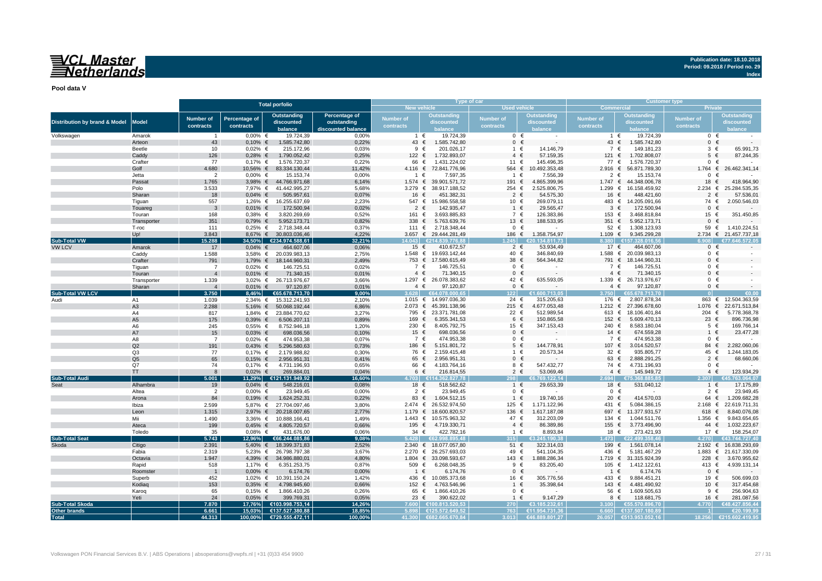## <u>WCL Master</u><br>ENetherlands

**Publication date: 18.10.2018 Period: 09.2018 / Period no. 29**

**Index**

**Pool data V**

|                                          |                      |                  |                        | <b>Total porfolio</b>               |                    |                          | Type of car                  |                     |                         | <b>Customer type</b>         |                             |                        |                                  |  |  |  |
|------------------------------------------|----------------------|------------------|------------------------|-------------------------------------|--------------------|--------------------------|------------------------------|---------------------|-------------------------|------------------------------|-----------------------------|------------------------|----------------------------------|--|--|--|
|                                          |                      |                  |                        |                                     |                    | <b>New vehicle</b>       |                              | <b>Used vehicle</b> |                         | <b>Commercial</b>            |                             |                        | Private                          |  |  |  |
|                                          |                      | <b>Number of</b> | Percentage of          | <b>Outstanding</b>                  | Percentage of      | Number of                | <b>Outstanding</b>           | Number of           | <b>Outstanding</b>      | <b>Number of</b>             | <b>Outstanding</b>          | <b>Number of</b>       | <b>Outstanding</b>               |  |  |  |
| <b>Distribution by brand &amp; Model</b> | <b>Model</b>         | contracts        | contracts              | discounted                          | outstanding        | contracts                | discounted                   | contracts           | discounted              | contracts                    | discounted                  | contracts              | discounted                       |  |  |  |
|                                          |                      |                  |                        | balance                             | discounted balance |                          | <b>balance</b>               |                     |                         |                              | balance                     |                        |                                  |  |  |  |
| Volkswagen                               | Amarok               | $\overline{1}$   | $0.00\%$ €             | 19.724.39                           | 0.00%              |                          | 1 €<br>19.724,39             | $0 \in$             | $\sim$                  | 1 €                          | 19.724,39                   |                        | $0 \in$                          |  |  |  |
|                                          | Arteon               | 43               | $0,10%$ €              | 1.585.742,80                        | 0,22%              | 43 €                     | 1.585.742,80                 | $0 \in$             |                         | 43 €                         | 1.585.742,80                | $\mathbf{0}$           | $\epsilon$                       |  |  |  |
|                                          | Beetle               | 10               | $0,02%$ €              | 215.172,96                          | 0,03%              | 9                        | $\epsilon$<br>201.026,17     | 1 €                 | 14.146,79               | 7 €                          | 149.181,23                  | $3 \in$                | 65.991.73                        |  |  |  |
|                                          | Caddv                | 126              | $0,28%$ €              | 1.790.052,42                        | 0,25%              | 122 $∈$                  | 1.732.893,07                 | $4 \in$             | 57.159,35               | 121 $\in$                    | 1.702.808,07                | $5 \in$                | 87.244.35                        |  |  |  |
|                                          | Crafter              | 77               | $0,17%$ €              | 1.576.720,37                        | 0,22%              | 66 €                     | 1.431.224,02                 | 11 €                | 145.496,35              | 77 €                         | 1.576.720,37                |                        | $0 \in$                          |  |  |  |
|                                          | Golf                 | 4.680            |                        | 10,56% € 83.334.130,44              | 11,42%             | $4.116$ €                | 72.841.776,96                | 564 €               | 10.492.353,48           |                              | 2.916 € 56.871.789,30       |                        | 1.764 € 26.462.341,14            |  |  |  |
|                                          | Jetta                | $\overline{2}$   | $0,00%$ €              | 15.153,74                           | 0,00%              | $\mathbf{1}$             | 7.597,35<br>€                | 1 €                 | 7.556,39                | $2 \in$                      | 15.153,74                   | $\mathbf{0}$           |                                  |  |  |  |
|                                          | Passat<br>Polo       | 1.765            |                        | 3,98% € 44.766.971,68               | 6,14%              | $1.574$ €<br>3.279 $\in$ | 39.901.571,72                | 191 €<br>254 $\in$  | 4.865.399,96            | 1.299 $∈$                    | 1.747 € 44.348.006,78       | 18 €<br>2.234          | 418.964,90<br>25.284.535,35<br>€ |  |  |  |
|                                          | Sharan               | 3.533<br>18      | $0,04%$ €              | 7,97% € 41.442.995,27<br>505.957,61 | 5,68%<br>0,07%     | 16 €                     | 38.917.188,52<br>451.382,31  | 2 €                 | 2.525.806,75            | 16                           | 16.158.459,92<br>448.421,60 | $\overline{2}$         | 57.536,01<br>€                   |  |  |  |
|                                          | Tiquan               | 557              |                        | 1,26% € 16.255.637,69               | 2,23%              | 547 €                    | 15.986.558,58                | 10 €                | 54.575,30<br>269.079,11 | €                            | 483 € 14.205.091,66         | 74 €                   | 2.050.546,03                     |  |  |  |
|                                          | Touareg              | 3                | $0,01\%$ €             | 172.500,94                          | 0,02%              | $\overline{2}$           | 142.935,47<br>€              | $1 \in$             | 29.565,47               | $\mathbf{3}$<br>€            | 172.500,94                  | $\Omega$               | $\epsilon$                       |  |  |  |
|                                          | Touran               | 168              | $0,38%$ €              | 3.820.269,69                        | 0,52%              | 161 €                    | 3.693.885,83                 | 7 €                 | 126.383,86              | 153 €                        | 3.468.818,84                | 15                     | 351.450,85                       |  |  |  |
|                                          | Transporter          | 351              | $0,79%$ €              | 5.952.173,71                        | 0,82%              | 338 $\epsilon$           | 5.763.639,76                 | 13 €                | 188.533,95              | 351 $\epsilon$               | 5.952.173,71                | $\mathbf{0}$           | €                                |  |  |  |
|                                          | T-roc                | 111              | $0.25\%$ $\in$         | 2.718.348,44                        | 0,37%              | 111 €                    | 2.718.348,44                 | $0 \in$             | $\sim$                  | $52 \in$                     | 1.308.123,93                | 59 €                   | 1.410.224,5                      |  |  |  |
|                                          | Up!                  | 3.843            |                        | 8,67% € 30.803.036,46               | 4,22%              |                          | 3.657 € 29.444.281,49        | 186 €               | 1.358.754,97            | 1.109 $∈$                    | 9.345.299,28                |                        | 2.734 € 21.457.737,18            |  |  |  |
| <b>Sub-Total VW</b>                      |                      | 15.288           |                        | 34,50% €234.974.588,61              | 32,21%             | 14.043                   | €214.839.776.88              | 245                 | €20.134.811.73          |                              | €157.328.016.56             |                        | €77 646 572 0                    |  |  |  |
| <b>VW LCV</b>                            | Amarok               | 17               | $0.04\% \in$           | 464.607,06                          | 0,06%              | 15 $\epsilon$            | 410.672,57                   | $2 \in$             | 53.934,49               | 17 €                         | 464.607,06                  | $\mathbf{0}$           | €                                |  |  |  |
|                                          | Caddy                | 1.588            |                        | 3,58% € 20.039.983,13               | 2,75%              |                          | 1.548 € 19.693.142,44        | 40 €                | 346.840,69              |                              | 1.588 € 20.039.983,13       | $\mathbf 0$            | €                                |  |  |  |
|                                          | Crafter              | 791              | 1,79% €                | 18.144.960,31                       | 2,49%              |                          | 753 € 17.580.615,49          | 38 €                | 564.344,82              |                              | 791 € 18.144.960,31         |                        | $0 \in$                          |  |  |  |
|                                          | Tiquan               | $\overline{7}$   | $0,02%$ €              | 146.725,51                          | 0,02%              | 7 €                      | 146.725.51                   | $0 \in$             |                         | 7 €                          | 146.725,51                  |                        | $0 \in$                          |  |  |  |
|                                          | Touran               | $\overline{4}$   | $0,01\%$ €             | 71.340,15                           | 0,01%              | $4 \in$                  | 71.340,15                    | $0 \in$             |                         | $4 \in$                      | 71.340,15                   | $0 \in$                |                                  |  |  |  |
|                                          | Transporter          | 1.339            |                        | 3,02% € 26.713.976,67               | 3,66%              |                          | 1.297 € 26.078.383,62        | 42 €                | 635.593,05              |                              | 1.339 € 26.713.976,67       |                        | $0 \in$                          |  |  |  |
|                                          | Sharan               | $\overline{a}$   | $0.01\%$ €             | 97.120,87                           | 0.01%              |                          | $4 \in$<br>97.120,87         | $0 \in$             |                         | $4 \in$                      | 97.120,87                   |                        | $0 \in$                          |  |  |  |
| Sub-Total VW LCV                         |                      | 3.750            | 8.46%                  | €65.678.713.70                      | 9.00%              | 3.628                    | €64.078.000.65               | 122 <sub>1</sub>    | €1.600.713.05           | 3.750                        | €65.678.713.70              |                        |                                  |  |  |  |
| Audi                                     | A1                   | 1.039            |                        | 2,34% € 15.312.241,93               | 2,10%              | 1.015 $∈$                | 14.997.036,30                | 24 €                | 315.205,63              | 176 €                        | 2.807.878,34                |                        | 863 € 12.504.363,59              |  |  |  |
|                                          | A3                   | 2.288            |                        | 5,16% € 50.068.192,44               | 6,86%              | $2.073$ €                | 45.391.138.96                | 215 $\in$           | 4.677.053,48            | 1.212<br>€                   | 27.396.678,60               | 1.076 $∈$              | 22.671.513,84                    |  |  |  |
|                                          | A4                   | 817              |                        | 1,84% € 23.884.770,62               | 3,27%              |                          | 795 € 23.371.781,08          | 22 $\in$            | 512.989,54              | 613 €                        | 18.106.401,84               | 204 $\in$              | 5.778.368,78                     |  |  |  |
|                                          | A <sub>5</sub>       | 175              | $0,39%$ €              | 6.506.207,11                        | 0,89%              | 169 €                    | 6.355.341,53                 | 6 €                 | 150.865,58              | 152 €                        | 5.609.470,13                | 23 $\epsilon$          | 896.736,98                       |  |  |  |
|                                          | A6                   | 245              | $0,55%$ €              | 8.752.946,18                        | 1.20%              | 230 $∈$                  | 8.405.792,75                 | 15 €                | 347.153,43              | 240 €                        | 8.583.180,04                | $5 \in$                | 169.766,14                       |  |  |  |
|                                          | A7                   | 15               | $0,03%$ €              | 698.036,56                          | 0,10%              | 15 €                     | 698.036,56                   | $0 \in$             |                         | 14<br>€                      | 674.559,28                  | 1 €                    | 23.477,28                        |  |  |  |
|                                          | A8                   | $\overline{7}$   | $0,02%$ €              | 474.953,38                          | 0,07%              | 7 €                      | 474.953,38                   | $0 \in$             |                         | 7 €                          | 474.953,38                  |                        | $0 \in$                          |  |  |  |
|                                          | Q2                   | 191              | $0.43%$ €              | 5.296.580,63                        | 0,73%              | 186 €                    | 5.151.801,72                 | $5 \in$             | 144.778,91              | 107 €                        | 3.014.520,57                | 84                     | €<br>2.282.060,06                |  |  |  |
|                                          | Q3<br>Q <sub>5</sub> | 77               | $0,17%$ €              | 2.179.988,82                        | 0,30%              | 76 €<br>65 €             | 2.159.415,48<br>2.956.951.31 | $1 \in$<br>$0 \in$  | 20.573,34               | 32 €<br>63<br>€              | 935.805,77<br>2.888.291.25  | 45 €<br>$\overline{2}$ | 1.244.183,05<br>68,660.06<br>€   |  |  |  |
|                                          | Q7                   | 65<br>74         | $0,15%$ €<br>$0,17%$ € | 2.956.951,31<br>4.731.196,93        | 0,41%<br>0,65%     | 66 €                     | 4.183.764,16                 | 8 €                 | 547.432,77              | 74 €                         | 4.731.196,93                | $\mathbf{0}$           | €                                |  |  |  |
|                                          | <b>TT</b>            | $\mathbf{8}$     | $0,02%$ €              | 269.884,01                          | 0,04%              | 6 €                      | 216.814,55                   | $2 \in$             | 53.069,46               | $4 \in$                      | 145.949,72                  | $4 \in$                | 123.934,29                       |  |  |  |
| <b>Sub-Total Audi</b>                    |                      | 5.001            |                        | 11,29% €121.131.949,92              | 16.60%             | .703                     | €114.362.827.78              | 298                 | €6.769.122.14           |                              | 2.694 €75.368.885.85        | 2.307                  | .763.064.07                      |  |  |  |
| Seat                                     | Alhambra             | 19               | $0,04%$ €              | 548.216,01                          | 0,08%              | 18 €                     | 518.562,62                   | $1 \in$             | 29.653,39               | 18 €                         | 531.040,12                  | $1 \in$                | 17.175,89                        |  |  |  |
|                                          | Altea                | $\overline{2}$   | $0,00%$ €              | 23.949,45                           | 0,00%              | $2 \in$                  | 23.949,45                    | $0 \in$             | $\sim$                  | $0 \in$                      |                             | $2 \in$                | 23.949,45                        |  |  |  |
|                                          | Arona                | 84               |                        | $0,19\%$ $\in$ 1.624.252,31         | 0,22%              | 83 €                     | 1.604.512,15                 | $1 \in$             | 19.740,16               | 20<br>€                      | 414.570,03                  | 64 €                   | 1.209.682,28                     |  |  |  |
|                                          | Ibiza                | 2.599            |                        | 5,87% € 27.704.097,46               | 3,80%              | $2.474 \in$              | 26.532.974,50                | 125 €               | 1.171.122,96            | 431<br>€                     | 5.084.386,15                | 2.168 ∈                | 22.619.711,3                     |  |  |  |
|                                          | Leon                 | 1.315            |                        | 2,97% € 20.218.007,65               | 2,77%              |                          | 1.179 € 18.600.820,57        | 136 €               | 1.617.187,08            |                              | 697 € 11.377.931,57         | 618 €                  | 8.840.076,08                     |  |  |  |
|                                          | Mii                  | 1.490            |                        | 3,36% € 10.888.166,41               | 1,49%              | 1.443 $∈$                | 10.575.963,32                | 47 €                | 312.203,09              | 134<br>€                     | 1.044.511,76                | $1.356$ €              | 9.843.654,65                     |  |  |  |
|                                          | Ateca                | 199              | $0,45%$ €              | 4.805.720,57                        | 0,66%              | 195 €                    | 4.719.330,71                 | $4 \in$             | 86.389,86               | 155 $\epsilon$               | 3.773.496,90                | 44 $\in$               | 1.032.223,67                     |  |  |  |
|                                          | Toledo               | 35               | $0,08%$ €              | 431.676,00                          | 0,06%              | 34 $\in$                 | 422.782,16                   | 1 €                 | 8.893,84                | 18 €                         | 273.421,93                  | 17 €                   | 158.254,07                       |  |  |  |
| <b>Sub-Total Seat</b>                    |                      | 5.743            | 12.96%                 | €66.244.085,86                      | 9.08%              | 5.428                    | 62.998.895.48                |                     | 3.245.190.38            | 473                          | €22.499.358.46              | 4.270                  | €43.744.727,40                   |  |  |  |
| Skoda                                    | Citigo               | 2.391            |                        | 5,40% € 18.399.371,83               | 2,52%              |                          | 2.340 € 18.077.057,80        | $51 \in$            | 322.314,03              | 199 €                        | 1.561.078,14                |                        | 2.192 € 16.838.293,69            |  |  |  |
|                                          | Fabia                | 2.319            |                        | 5,23% € 26.798.797,38               | 3,67%              | $2.270 \in$              | 26.257.693,03                | 49 €                | 541.104,35              | 436<br>€                     | 5.181.467,29                |                        | 1.883 € 21.617.330,09            |  |  |  |
|                                          | Octavia              | 1.947            |                        | 4,39% € 34.986.880,01               | 4.80%              | 1.804 $∈$                | 33.098.593,67                | 143 €               | 1.888.286,34            | 1.719<br>€                   | 31.315.924,39               | 228                    | 3.670.955,62<br>€                |  |  |  |
|                                          | Rapid                | 518              | 1,17% €                | 6.351.253,75                        | 0,87%              | 509 €                    | 6.268.048,35                 | 9 €                 | 83.205,40               | 105 €                        | 1.412.122,61                | 413 €                  | 4.939.131,14                     |  |  |  |
|                                          | Roomster             | $\overline{1}$   | $0,00%$ €              | 6.174,76                            | 0,00%              | $\overline{1}$           | 6.174.76<br>$\epsilon$       | $0 \in$             |                         | $\epsilon$<br>$\overline{1}$ | 6.174,76                    | $\mathbf{0}$           |                                  |  |  |  |
|                                          | Superb               | 452              |                        | 1,02% € 10.391.150,24               | 1,42%              | 436 €                    | 10.085.373,68                | 16 €                | 305.776,56              | 433 $∈$                      | 9.884.451,21                | 19 €                   | 506.699,03                       |  |  |  |
|                                          | Kodiaq               | 153              | $0,35%$ €              | 4.798.945,60                        | 0,66%              | 152 €                    | 4.763.546,96                 | 1 €                 | 35.398,64               | 143<br>€                     | 4.481.490,92                | 10 €                   | 317.454,68                       |  |  |  |
|                                          | Karog                | 65               | $0,15%$ €              | 1.866.410,26                        | 0,26%              | 65 €                     | 1.866.410,26                 | $0 \in$             |                         | 56 €                         | 1.609.505,63                | $9 \in$                | 256.904,63                       |  |  |  |
|                                          | Yeti                 | 24               | $0.05%$ €              | 399.769,31                          | 0,05%              | 23 $\epsilon$            | 390.622,02                   | 1 €                 | 9.147,29                | 8 €                          | 118.681,75                  | 16 €                   | 281.087,56                       |  |  |  |
| <b>Sub-Total Skoda</b>                   |                      | 7.870            | 17,76%                 | €103.998.753,14                     | 14,26%             | 7.600                    | €100.813.520.53              | 270                 | €3.185.232.61           | 3.100                        | €55.570.896.70              | 4.770                  | €48.427.856.44                   |  |  |  |
| Other brands                             |                      | 6.661<br>44.313  | 15.03%                 | €137.527.380,88                     | 18.85%             | 5.898                    | €125.572.649.52              | 763                 | €11.954.731.36          |                              | 6.660 €137.507.180.89       |                        | €20.199.99                       |  |  |  |
| <b>Total</b>                             |                      |                  |                        | 100,00% €729.555.472,11             | 100,00%            |                          | 41.300 €682.665.670,84       |                     | 3.013 €46.889.801,27    |                              | 26.057 €513.953.052,16      | 18.256                 | €215.602.419,95                  |  |  |  |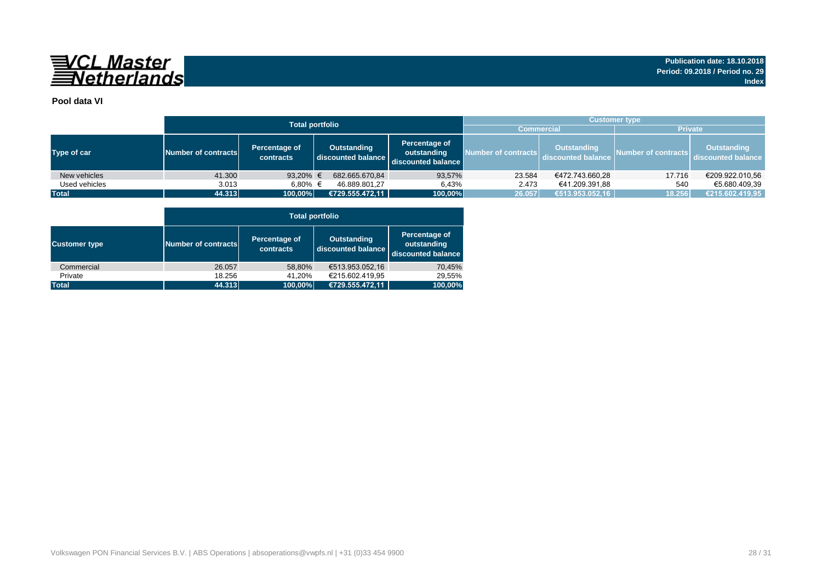

## **Pool data VI**

|               |                     |                                                  | <b>Total portfolio</b> |                                                    | <b>Customer type</b> |                                          |                     |                                          |  |  |  |  |  |  |
|---------------|---------------------|--------------------------------------------------|------------------------|----------------------------------------------------|----------------------|------------------------------------------|---------------------|------------------------------------------|--|--|--|--|--|--|
|               |                     |                                                  | <b>Commercial</b>      |                                                    | <b>Private</b>       |                                          |                     |                                          |  |  |  |  |  |  |
| Type of car   | Number of contracts | Percentage of<br>discounted balance<br>contracts |                        | Percentage of<br>outstanding<br>discounted balance | Number of contracts  | <b>Outstanding</b><br>discounted balance | Number of contracts | <b>Outstanding</b><br>discounted balance |  |  |  |  |  |  |
| New vehicles  | 41.300              | 93,20% $\in$                                     | 682.665.670.84         | 93,57%                                             | 23.584               | €472.743.660,28                          | 17.716              | €209.922.010,56                          |  |  |  |  |  |  |
| Used vehicles | 3.013               | 6.80% €                                          | 46.889.801.27          | 6.43%                                              | 2.473                | €41.209.391.88                           | 540                 | €5.680.409,39                            |  |  |  |  |  |  |
| <b>Total</b>  | 44.313              | 100,00%                                          | €729.555.472,11        | 100,00%                                            | 26.057               | €513.953.052,16                          | 18.256              | €215.602.419,95                          |  |  |  |  |  |  |

|                      |                     | <b>Total portfolio</b>     |                                          |                                                    |  |  |  |  |  |  |  |  |  |
|----------------------|---------------------|----------------------------|------------------------------------------|----------------------------------------------------|--|--|--|--|--|--|--|--|--|
| <b>Customer type</b> | Number of contracts | Percentage of<br>contracts | <b>Outstanding</b><br>discounted balance | Percentage of<br>outstanding<br>discounted balance |  |  |  |  |  |  |  |  |  |
| Commercial           | 26.057              | 58,80%                     | €513.953.052,16                          | 70,45%                                             |  |  |  |  |  |  |  |  |  |
| Private              | 18.256              | 41,20%                     | €215.602.419,95                          | 29,55%                                             |  |  |  |  |  |  |  |  |  |
| <b>Total</b>         | 44.313              | 100,00%                    | €729.555.472,11                          | 100,00%                                            |  |  |  |  |  |  |  |  |  |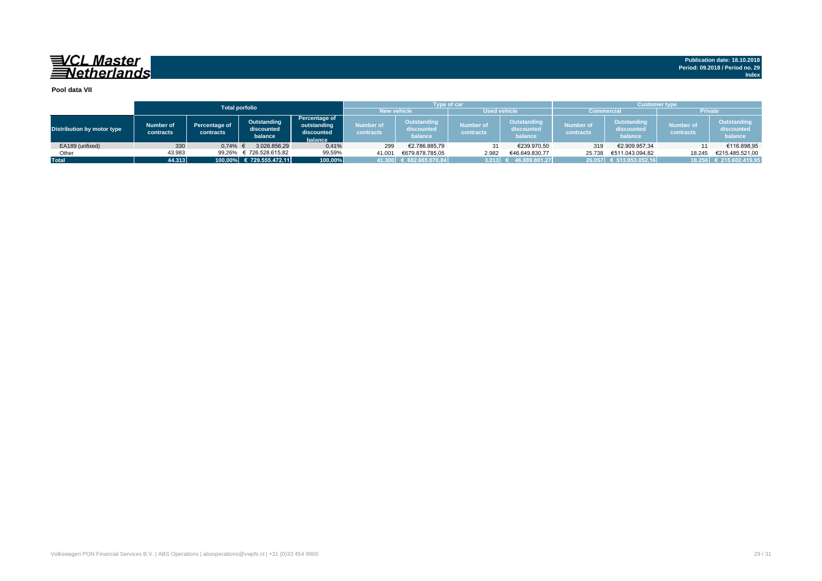## 

|                            |                               |                            | <b>Total porfolio</b>                |                                                       | <b>New vehicle</b>            | Type of car                                 | <b>Used vehicle</b>    |                                      | <b>Customer type</b><br><b>Private</b><br><b>Commercial</b> |                                      |                               |                                      |  |  |  |
|----------------------------|-------------------------------|----------------------------|--------------------------------------|-------------------------------------------------------|-------------------------------|---------------------------------------------|------------------------|--------------------------------------|-------------------------------------------------------------|--------------------------------------|-------------------------------|--------------------------------------|--|--|--|
| Distribution by motor type | <b>Number of</b><br>contracts | Percentage of<br>contracts | Outstanding<br>discounted<br>balance | Percentage of<br>outstanding<br>discounted<br>balance | <b>Number of</b><br>contracts | <b>Outstanding</b><br>discounted<br>balance | Number of<br>contracts | Outstanding<br>discounted<br>balance | <b>Number of</b><br>contracts                               | Outstanding<br>discounted<br>balance | <b>Number of</b><br>contracts | Outstanding<br>discounted<br>balance |  |  |  |
| EA189 (unfixed)            | 330                           | 0.74%                      | 3.026.856.29                         | 0,41%                                                 | 299                           | €2.786.885.79                               | 31                     | €239.970,50                          | 319                                                         | €2.909.957,34                        |                               | €116.898,95                          |  |  |  |
| Other                      | 43.983                        | 99.26%                     | € 726.528.615.82                     | 99,59%                                                | 41.001                        | €679.878.785.05                             | 2.982                  | €46.649.830.77                       | 25.738                                                      | €511.043.094.82                      | 18.245                        | €215.485.521.00                      |  |  |  |
| <b>Total</b>               | 44.313                        |                            | 100.00% € 729.555.472.11             | 100,00%                                               |                               | 41.300 € 682.665.670,84                     | 3.013                  | 46.889.801.27                        |                                                             | 26.057 € 513.953.052,16              |                               | 18.256 € 215.602.419,95              |  |  |  |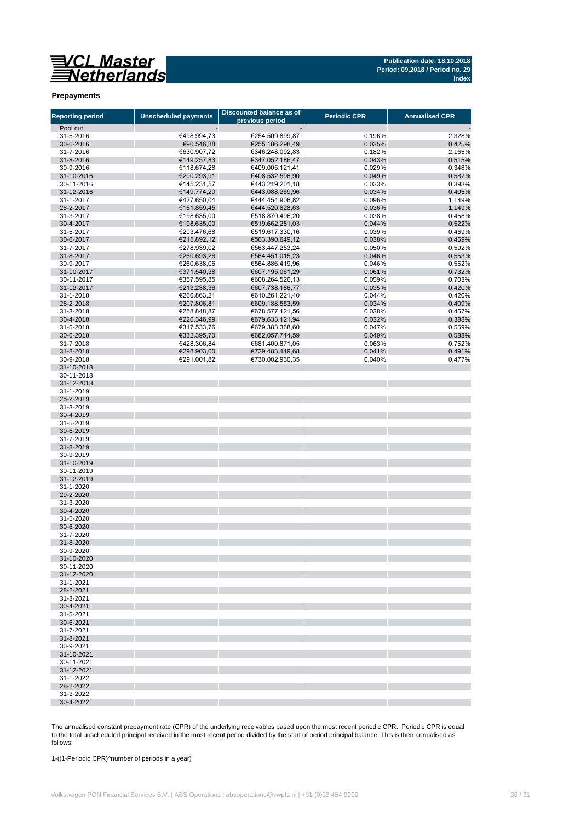# 

**Publication date: 18.10.2018 Period: 09.2018 / Period no. 29 Index**

#### **Prepayments**

| <b>Reporting period</b> | <b>Unscheduled payments</b> | Discounted balance as of<br>previous period | <b>Periodic CPR</b> | <b>Annualised CPR</b> |
|-------------------------|-----------------------------|---------------------------------------------|---------------------|-----------------------|
| Pool cut                |                             |                                             |                     |                       |
| 31-5-2016               | €498.994,73                 | €254.509.899,87                             | 0,196%              | 2,328%                |
| 30-6-2016               | €90.546,38                  | €255.186.298,49                             | 0,035%              | 0,425%                |
| 31-7-2016               | €630.907,72                 | €346.248.092,83                             | 0,182%              | 2,165%                |
| 31-8-2016               | €149.257,83                 | €347.052.186,47                             | 0,043%              | 0,515%                |
| 30-9-2016               | €118.674,28                 | €409.005.121,41                             | 0,029%              | 0,348%                |
| 31-10-2016              | €200.293,91                 | €408.532.596,90                             | 0,049%              | 0,587%                |
| 30-11-2016              | €145.231,57                 | €443.219.201,18                             | 0,033%              | 0,393%                |
| 31-12-2016              | €149.774,20                 | €443.088.269,96                             | 0,034%              | 0,405%                |
| 31-1-2017               | €427.650,04                 | €444.454.906,82                             | 0,096%              | 1,149%                |
| 28-2-2017               | €161.859,45                 | €444.520.828,63                             | 0,036%              | 1,149%                |
| 31-3-2017               | €198.635,00                 | €518.870.496,20                             | 0,038%              | 0,458%                |
| 30-4-2017               | €198.635,00                 | €519.662.281,03                             | 0,044%              | 0,522%                |
| 31-5-2017               | €203.476,68                 | €519.617.330,16                             | 0,039%              | 0,469%                |
| 30-6-2017               | €215.892,12                 | €563.390.649,12                             | 0,038%              | 0,459%                |
| 31-7-2017               | €278.939,02                 | €563.447.253,24                             | 0,050%              | 0,592%                |
| 31-8-2017               | €260.693,26                 | €564.451.015,23                             | 0,046%              | 0,553%                |
| 30-9-2017<br>31-10-2017 | €260.638,06<br>€371.540,38  | €564.886.419,96<br>€607.195.061,29          | 0,046%<br>0,061%    | 0,552%<br>0,732%      |
| 30-11-2017              | €357.595,85                 | €608.264.526,13                             | 0,059%              | 0,703%                |
| 31-12-2017              | €213.238,36                 | €607.738.186,77                             | 0,035%              | 0,420%                |
| 31-1-2018               | €266.863,21                 | €610.261.221,40                             | 0,044%              | 0,420%                |
| 28-2-2018               | €207.806,81                 | €609.188.553,59                             | 0,034%              | 0,409%                |
| 31-3-2018               | €258.848,87                 | €678.577.121,56                             | 0,038%              | 0,457%                |
| 30-4-2018               | €220.346,99                 | €679.633.121,94                             | 0,032%              | 0,388%                |
| 31-5-2018               | €317.533,76                 | €679.383.368.60                             | 0,047%              | 0,559%                |
| 30-6-2018               | €332.395,70                 | €682.057.744,59                             | 0,049%              | 0,583%                |
| 31-7-2018               | €428.306,84                 | €681.400.871,05                             | 0,063%              | 0,752%                |
| 31-8-2018               | €298.903,00                 | €729.483.449,68                             | 0,041%              | 0,491%                |
| 30-9-2018               | €291.001,82                 | €730.002.930,35                             | 0,040%              | 0,477%                |
| 31-10-2018              |                             |                                             |                     |                       |
| 30-11-2018              |                             |                                             |                     |                       |
| 31-12-2018              |                             |                                             |                     |                       |
| 31-1-2019               |                             |                                             |                     |                       |
| 28-2-2019               |                             |                                             |                     |                       |
| 31-3-2019               |                             |                                             |                     |                       |
| 30-4-2019               |                             |                                             |                     |                       |
| 31-5-2019               |                             |                                             |                     |                       |
| 30-6-2019               |                             |                                             |                     |                       |
| 31-7-2019               |                             |                                             |                     |                       |
| 31-8-2019               |                             |                                             |                     |                       |
| 30-9-2019               |                             |                                             |                     |                       |
| 31-10-2019              |                             |                                             |                     |                       |
| 30-11-2019              |                             |                                             |                     |                       |
| 31-12-2019              |                             |                                             |                     |                       |
| 31-1-2020               |                             |                                             |                     |                       |
| 29-2-2020<br>31-3-2020  |                             |                                             |                     |                       |
| 30-4-2020               |                             |                                             |                     |                       |
| 31-5-2020               |                             |                                             |                     |                       |
| 30-6-2020               |                             |                                             |                     |                       |
| 31-7-2020               |                             |                                             |                     |                       |
| 31-8-2020               |                             |                                             |                     |                       |
| 30-9-2020               |                             |                                             |                     |                       |
| 31-10-2020              |                             |                                             |                     |                       |
| 30-11-2020              |                             |                                             |                     |                       |
| 31-12-2020              |                             |                                             |                     |                       |
| 31-1-2021               |                             |                                             |                     |                       |
| 28-2-2021               |                             |                                             |                     |                       |
| 31-3-2021               |                             |                                             |                     |                       |
| 30-4-2021               |                             |                                             |                     |                       |
| 31-5-2021               |                             |                                             |                     |                       |
| 30-6-2021               |                             |                                             |                     |                       |
| 31-7-2021               |                             |                                             |                     |                       |
| 31-8-2021               |                             |                                             |                     |                       |
| 30-9-2021               |                             |                                             |                     |                       |
| 31-10-2021              |                             |                                             |                     |                       |
| 30-11-2021              |                             |                                             |                     |                       |
| 31-12-2021              |                             |                                             |                     |                       |
| 31-1-2022               |                             |                                             |                     |                       |
| 28-2-2022               |                             |                                             |                     |                       |
| 31-3-2022               |                             |                                             |                     |                       |
| 30-4-2022               |                             |                                             |                     |                       |

The annualised constant prepayment rate (CPR) of the underlying receivables based upon the most recent periodic CPR. Periodic CPR is equal to the total unscheduled principal received in the most recent period divided by the start of period principal balance. This is then annualised as follows:

1-((1-Periodic CPR)^number of periods in a year)